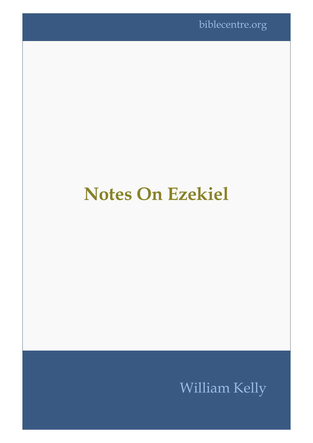# **Notes On Ezekiel**

## William Kelly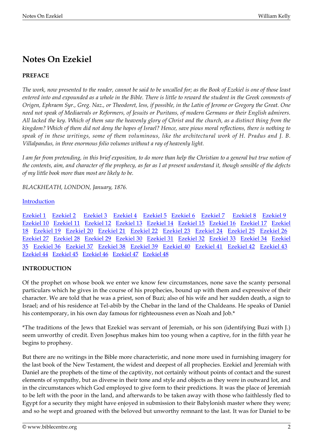### **Notes On Ezekiel**

#### **PREFACE**

*The work, now presented to the reader, cannot be said to be uncalled for; as the Book of Ezekiel is one of those least entered into and expounded as a whole in the Bible. There is little to reward the student in the Greek comments of Origen, Ephraem Syr., Greg. Naz., or Theodoret, less, if possible, in the Latin of Jerome or Gregory the Great. One need not speak of Mediaevals or Reformers, of Jesuits or Puritans, of modern Germans or their English admirers. All lacked the key. Which of them saw the heavenly glory of Christ and the church, as a distinct thing from the kingdom? Which of them did not deny the hopes of Israel? Hence, save pious moral reflections, there is nothing to speak of in these writings, some of them voluminous, like the architectural work of H. Pradus and J. B. Villalpandus, in three enormous folio volumes without a ray of heavenly light.*

*I am far from pretending, in this brief exposition, to do more than help the Christian to a general but true notion of the contents, aim, and character of the prophecy, as far as I at present understand it, though sensible of the defects of my little book more than most are likely to be.*

*BLACKHEATH, LONDON, January, 1876.*

#### [Introduction](#page-1-0)

[Ezekiel 1](#page-4-0) [Ezekiel 2](#page-6-0) [Ezekiel 3](#page-7-0) [Ezekiel 4](#page-7-1) [Ezekiel 5](#page-9-0) [Ezekiel 6](#page-10-0) [Ezekiel 7](#page-11-0) [Ezekiel 8](#page-12-0) [Ezekiel 9](#page-14-0) [Ezekiel 10](#page-14-1) [Ezekiel 11](#page-16-0) [Ezekiel 12](#page-18-0) [Ezekiel 13](#page-20-0) [Ezekiel 14](#page-22-0) [Ezekiel 15](#page-23-0) [Ezekiel 16](#page-25-0) [Ezekiel 17 Ezekiel](#page--1-0) [18](#page--1-0) [Ezekiel 19 Ezekiel 20](#page--1-0) [Ezekiel 21 Ezekiel 22](#page--1-0) [Ezekiel 23](#page--1-0) [Ezekiel 24 Ezekiel 25](#page--1-0) [Ezekiel 26](#page--1-0)  [Ezekiel 27 Ezekiel 28](#page--1-0) [Ezekiel 29](#page--1-0) [Ezekiel 30 Ezekiel 31](#page--1-0) [Ezekiel 32](#page--1-0) [Ezekiel 33 Ezekiel 34 Ezekiel](#page--1-0) [35](#page--1-0) [Ezekiel 36 Ezekiel 37](#page--1-0) [Ezekiel 38 Ezekiel 39](#page--1-0) [Ezekiel 40](#page--1-0) [Ezekiel 41 Ezekiel 42](#page--1-0) [Ezekiel 43](#page--1-0)  [Ezekiel 44 Ezekiel 45 Ezekiel 46](#page--1-0) [Ezekiel 47](#page--1-0) [Ezekiel 48](#page--1-0)

#### <span id="page-1-0"></span>**INTRODUCTION**

Of the prophet on whose book we enter we know few circumstances, none save the scanty personal particulars which he gives in the course of his prophecies, bound up with them and expressive of their character. We are told that he was a priest, son of Buzi; also of his wife and her sudden death, a sign to Israel; and of his residence at Tel-abib by the Chebar in the land of the Chaldeans. He speaks of Daniel his contemporary, in his own day famous for righteousness even as Noah and Job.\*

\*The traditions of the Jews that Ezekiel was servant of Jeremiah, or his son (identifying Buzi with J.) seem unworthy of credit. Even Josephus makes him too young when a captive, for in the fifth year he begins to prophesy.

But there are no writings in the Bible more characteristic, and none more used in furnishing imagery for the last book of the New Testament, the widest and deepest of all prophecies. Ezekiel and Jeremiah with Daniel are the prophets of the time of the captivity, not certainly without points of contact and the surest elements of sympathy, but as diverse in their tone and style and objects as they were in outward lot, and in the circumstances which God employed to give form to their predictions. It was the place of Jeremiah to be left with the poor in the land, and afterwards to be taken away with those who faithlessly fled to Egypt for a security they might have enjoyed in submission to their Babylonish master where they were; and so he wept and groaned with the beloved but unworthy remnant to the last. It was for Daniel to be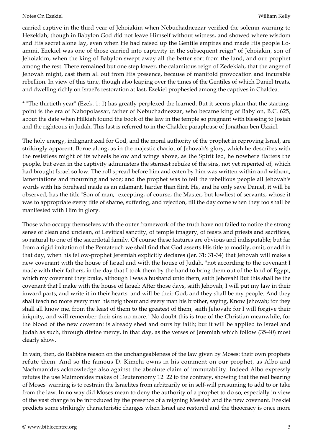carried captive in the third year of Jehoiakim when Nebuchadnezzar verified the solemn warning to Hezekiah; though in Babylon God did not leave Himself without witness, and showed where wisdom and His secret alone lay, even when He had raised up the Gentile empires and made His people Loammi. Ezekiel was one of those carried into captivity in the subsequent reign\* of Jehoiakin, son of Jehoiakim, when the king of Babylon swept away all the better sort from the land, and our prophet among the rest. There remained but one step lower, the calamitous reign of Zedekiah, that the anger of Jehovah might, cast them all out from His presence, because of manifold provocation and incurable rebellion. In view of this time, though also leaping over the times of the Gentiles of which Daniel treats, and dwelling richly on Israel's restoration at last, Ezekiel prophesied among the captives in Chaldea.

\* "The thirtieth year" (Ezek. 1: 1) has greatly perplexed the learned. But it seems plain that the startingpoint is the era of Nabopolassar, father of Nebuchadnezzar, who became king of Babylon, B.C. 625, about the date when Hilkiah found the book of the law in the temple so pregnant with blessing to Josiah and the righteous in Judah. This last is referred to in the Chaldee paraphrase of Jonathan ben Uzziel.

The holy energy, indignant zeal for God, and the moral authority of the prophet in reproving Israel, are strikingly apparent. Borne along, as in the majestic chariot of Jehovah's glory, which he describes with the resistless might of its wheels below and wings above, as the Spirit led, he nowhere flatters the people, but even in the captivity administers the sternest rebuke of the sins, not yet repented of, which had brought Israel so low. The roll spread before him and eaten by him was written within and without, lamentations and mourning and woe; and the prophet was to tell the rebellious people all Jehovah's words with his forehead made as an adamant, harder than flint. He, and he only save Daniel, it will be observed, has the title "Son of man," excepting, of course, the Master, but lowliest of servants, whose it was to appropriate every title of shame, suffering, and rejection, till the day come when they too shall be manifested with Him in glory.

Those who occupy themselves with the outer framework of the truth have not failed to notice the strong sense of clean and unclean, of Levitical sanctity, of temple imagery, of feasts and priests and sacrifices, so natural to one of the sacerdotal family. Of course these features are obvious and indisputable; but far from a rigid imitation of the Pentateuch we shall find that God asserts His title to modify, omit, or add in that day, when his fellow-prophet Jeremiah explicitly declares (Jer. 31: 31-34) that Jehovah will make a new covenant with the house of Israel and with the house of Judah, "not according to the covenant I made with their fathers, in the day that I took them by the hand to bring them out of the land of Egypt, which my covenant they brake, although I was a husband unto them, saith Jehovah! But this shall be the covenant that I make with the house of Israel: After those days, saith Jehovah, I will put my law in their inward parts, and write it in their hearts: and will be their God, and they shall be my people. And they shall teach no more every man his neighbour and every man his brother, saying, Know Jehovah; for they shall all know me, from the least of them to the greatest of them, saith Jehovah: for I will forgive their iniquity, and will remember their sins no more." No doubt this is true of the Christian meanwhile, for the blood of the new covenant is already shed and ours by faith; but it will be applied to Israel and Judah as such, through divine mercy, in that day, as the verses of Jeremiah which follow (35-40) most clearly show.

In vain, then, do Rabbins reason on the unchangeableness of the law given by Moses: their own prophets refute them. And so the famous D. Kimchi owns in his comment on our prophet, as Albo and Nachmanides acknowledge also against the absolute claim of immutability. Indeed Albo expressly refutes the use Maimonides makes of Deuteronomy 12: 22 to the contrary, showing that the real bearing of Moses' warning is to restrain the Israelites from arbitrarily or in self-will presuming to add to or take from the law. In no way did Moses mean to deny the authority of a prophet to do so, especially in view of the vast change to be introduced by the presence of a reigning Messiah and the new covenant. Ezekiel predicts some strikingly characteristic changes when Israel are restored and the theocracy is once more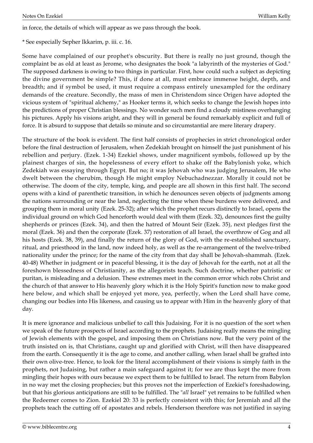\* See especially Sepher Ikkarim, p. iii. c. 16.

Some have complained of our prophet's obscurity. But there is really no just ground, though the complaint be as old at least as Jerome, who designates the book "a labyrinth of the mysteries of God." The supposed darkness is owing to two things in particular. First, how could such a subject as depicting the divine government be simple? This, if done at all, must embrace immense height, depth, and breadth; and if symbol be used, it must require a compass entirely unexampled for the ordinary demands of the creature. Secondly, the mass of men in Christendom since Origen have adopted the vicious system of "spiritual alchemy," as Hooker terms it, which seeks to change the Jewish hopes into the predictions of proper Christian blessings. No wonder such men find a cloudy mistiness overhanging his pictures. Apply his visions aright, and they will in general be found remarkably explicit and full of force. It is absurd to suppose that details so minute and so circumstantial are mere literary drapery.

The structure of the book is evident. The first half consists of prophecies in strict chronological order before the final destruction of Jerusalem, when Zedekiah brought on himself the just punishment of his rebellion and perjury. (Ezek. 1-34) Ezekiel shows, under magnificent symbols, followed up by the plainest charges of sin, the hopelessness of every effort to shake off the Babylonish yoke, which Zedekiah was essaying through Egypt. But no; it was Jehovah who was judging Jerusalem, He who dwelt between the cherubim, though He might employ Nebuchadnezzar. Morally it could not be otherwise. The doom of the city, temple, king, and people are all shown in this first half. The second opens with a kind of parenthetic transition, in which he denounces seven objects of judgments among the nations surrounding or near the land, neglecting the time when these burdens were delivered, and grouping them in moral unity (Ezek. 25-32); after which the prophet recurs distinctly to Israel, opens the individual ground on which God henceforth would deal with them (Ezek. 32), denounces first the guilty shepherds or princes (Ezek. 34), and then the hatred of Mount Seir (Ezek. 35), next pledges first the moral (Ezek. 36) and then the corporate (Ezek. 37) restoration of all Israel, the overthrow of Gog and all his hosts (Ezek. 38, 39), and finally the return of the glory of God, with the re-established sanctuary, ritual, and priesthood in the land, now indeed holy, as well as the re-arrangement of the twelve-tribed nationality under the prince; for the name of the city from that day shall be Jehovah-shammah. (Ezek. 40-48) Whether in judgment or in peaceful blessing, it is the day of Jehovah for the earth, not at all the foreshown blessedness of Christianity, as the allegorists teach. Such doctrine, whether patristic or puritan, is misleading and a delusion. These extremes meet in the common error which robs Christ and the church of that answer to His heavenly glory which it is the Holy Spirit's function now to make good here below, and which shall be enjoyed yet more, yea, perfectly, when the Lord shall have come, changing our bodies into His likeness, and causing us to appear with Him in the heavenly glory of that day.

It is mere ignorance and malicious unbelief to call this Judaising. For it is no question of the sort when we speak of the future prospects of Israel according to the prophets. Judaising really means the mingling of Jewish elements with the gospel, and imposing them on Christians now. But the very point of the truth insisted on is, that Christians, caught up and glorified with Christ, will then have disappeared from the earth. Consequently it is the age to come, and another calling, when Israel shall be grafted into their own olive-tree. Hence, to look for the literal accomplishment of their visions is simply faith in the prophets, not Judaising, but rather a main safeguard against it; for we are thus kept the more from mingling their hopes with ours because we expect them to be fulfilled to Israel. The return from Babylon in no way met the closing prophecies; but this proves not the imperfection of Ezekiel's foreshadowing, but that his glorious anticipations are still to be fulfilled. The "*all* Israel" yet remains to be fulfilled when the Redeemer comes to Zion. Ezekiel 20: 33 is perfectly consistent with this; for Jeremiah and all the prophets teach the cutting off of apostates and rebels. Henderson therefore was not justified in saying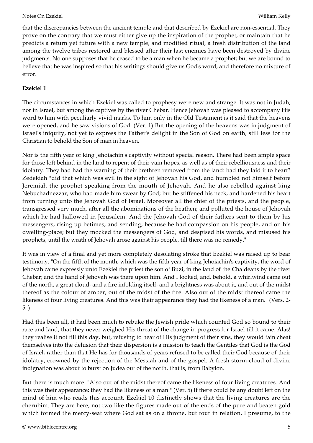that the discrepancies between the ancient temple and that described by Ezekiel are non-essential. They prove on the contrary that we must either give up the inspiration of the prophet, or maintain that he predicts a return yet future with a new temple, and modified ritual, a fresh distribution of the land among the twelve tribes restored and blessed after their last enemies have been destroyed by divine judgments. No one supposes that he ceased to be a man when he became a prophet; but we are bound to believe that he was inspired so that his writings should give us God's word, and therefore no mixture of error.

#### <span id="page-4-0"></span>**Ezekiel 1**

The circumstances in which Ezekiel was called to prophesy were new and strange. It was not in Judah, nor in Israel, but among the captives by the river Chebar. Hence Jehovah was pleased to accompany His word to him with peculiarly vivid marks. To him only in the Old Testament is it said that the heavens were opened, and he saw visions of God. (Ver. 1) But the opening of the heavens was in judgment of Israel's iniquity, not yet to express the Father's delight in the Son of God on earth, still less for the Christian to behold the Son of man in heaven.

Nor is the fifth year of king Jehoiachin's captivity without special reason. There had been ample space for those loft behind in the land to repent of their vain hopes, as well as of their rebelliousness and their idolatry. They had had the warning of their brethren removed from the land: had they laid it to heart? Zedekiah "did that which was evil in the sight of Jehovah his God, and humbled not himself before Jeremiah the prophet speaking from the mouth of Jehovah. And he also rebelled against king Nebuchadnezzar, who had made him swear by God; but he stiffened his neck, and hardened his heart from turning unto the Jehovah God of Israel. Moreover all the chief of the priests, and the people, transgressed very much, after all the abominations of the heathen; and polluted the house of Jehovah which he had hallowed in Jerusalem. And the Jehovah God of their fathers sent to them by his messengers, rising up betimes, and sending; because he had compassion on his people, and on his dwelling-place; but they mocked the messengers of God, and despised his words, and misused his prophets, until the wrath of Jehovah arose against his people, till there was no remedy."

It was in view of a final and yet more completely desolating stroke that Ezekiel was raised up to bear testimony. "On the fifth of the month, which was the fifth year of king Jehoiachin's captivity, the word of Jehovah came expressly unto Ezekiel the priest the son of Buzi, in the land of the Chaldeans by the river Chebar; and the hand of Jehovah was there upon him. And I looked, and, behold, a whirlwind came out of the north, a great cloud, and a fire infolding itself, and a brightness was about it, and out of the midst thereof as the colour of amber, out of the midst of the fire. Also out of the midst thereof came the likeness of four living creatures. And this was their appearance they had the likeness of a man." (Vers. 2- 5. )

Had this been all, it had been much to rebuke the Jewish pride which counted God so bound to their race and land, that they never weighed His threat of the change in progress for Israel till it came. Alas! they realise it not till this day, but, refusing to hear of His judgment of their sins, they would fain cheat themselves into the delusion that their dispersion is a mission to teach the Gentiles that God is the God of Israel, rather than that He has for thousands of years refused to be called their God because of their idolatry, crowned by the rejection of the Messiah and of the gospel. A fresh storm-cloud of divine indignation was about to burst on Judea out of the north, that is, from Babylon.

But there is much more. "Also out of the midst thereof came the likeness of four living creatures. And this was their appearance; they had the likeness of a man." (Ver. 5) If there could be any doubt left on the mind of him who reads this account, Ezekiel 10 distinctly shows that the living creatures are the cherubim. They are here, not two like the figures made out of the ends of the pure and beaten gold which formed the mercy-seat where God sat as on a throne, but four in relation, I presume, to the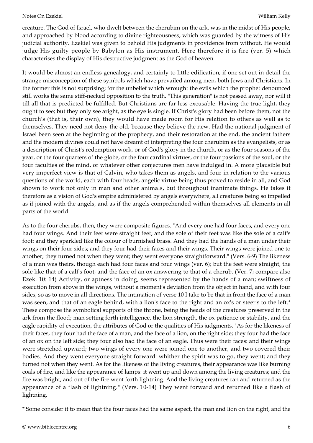creature. The God of Israel, who dwelt between the cherubim on the ark, was in the midst of His people, and approached by blood according to divine righteousness, which was guarded by the witness of His judicial authority. Ezekiel was given to behold His judgments in providence from without. He would judge His guilty people by Babylon as His instrument. Here therefore it is fire (ver. 5) which characterises the display of His destructive judgment as the God of heaven.

It would be almost an endless genealogy, and certainly to little edification, if one set out in detail the strange misconception of these symbols which have prevailed among men, both Jews and Christians. In the former this is not surprising; for the unbelief which wrought the evils which the prophet denounced still works the same stiff-necked opposition to the truth. "This generation" is not passed away, nor will it till all that is predicted be fulfilled. But Christians are far less excusable. Having the true light, they ought to see; but they only see aright, as the eye is single. If Christ's glory had been before them, not the church's (that is, their own), they would have made room for His relation to others as well as to themselves. They need not deny the old, because they believe the new. Had the national judgment of Israel been seen at the beginning of the prophecy, and their restoration at the end, the ancient fathers and the modern divines could not have dreamt of interpreting the four cherubim as the evangelists, or as a description of Christ's redemption work, or of God's glory in the church, or as the four seasons of the year, or the four quarters of the globe, or the four cardinal virtues, or the four passions of the soul, or the four faculties of the mind, or whatever other conjectures men have indulged in. A more plausible but very imperfect view is that of Calvin, who takes them as angels, and four in relation to the various questions of the world, each with four heads, angelic virtue being thus proved to reside in all, and God shown to work not only in man and other animals, but throughout inanimate things. He takes it therefore as a vision of God's empire administered by angels everywhere, all creatures being so impelled as if joined with the angels, and as if the angels comprehended within themselves all elements in all parts of the world.

As to the four cherubs, then, they were composite figures. "And every one had four faces, and every one had four wings. And their feet were straight feet; and the sole of their feet was like the sole of a calf's foot: and they sparkled like the colour of burnished brass. And they had the hands of a man under their wings on their four sides; and they four had their faces and their wings. Their wings were joined one to another; they turned not when they went; they went everyone straightforward." (Vers. 6-9) The likeness of a man was theirs, though each had four faces and four wings (ver. 6); but the feet were straight, the sole like that of a calf's foot, and the face of an ox answering to that of a cherub. (Ver. 7; compare also Ezek. 10: 14) Activity, or aptness in doing, seems represented by the hands of a man; swiftness of execution from above in the wings, without a moment's deviation from the object in hand, and with four sides, so as to move in all directions. The intimation of verse 10 I take to be that in front the face of a man was seen, and that of an eagle behind, with a lion's face to the right and an ox's or steer's to the left.\* These compose the symbolical supports of the throne, being the heads of the creatures preserved in the ark from the flood; man setting forth intelligence, the lion strength, the ox patience or stability, and the eagle rapidity of execution, the attributes of God or the qualities of His judgments. "As for the likeness of their faces, they four had the face of a man, and the face of a lion, on the right side; they four had the face of an ox on the left side; they four also had the face of an eagle. Thus were their faces: and their wings were stretched upward; two wings of every one were joined one to another, and two covered their bodies. And they went everyone straight forward: whither the spirit was to go, they went; and they turned not when they went. As for the likeness of the living creatures, their appearance was like burning coals of fire, and like the appearance of lamps: it went up and down among the living creatures; and the fire was bright, and out of the fire went forth lightning. And the living creatures ran and returned as the appearance of a flash of lightning." (Vers. 10-14) They went forward and returned like a flash of lightning.

\* Some consider it to mean that the four faces had the same aspect, the man and lion on the right, and the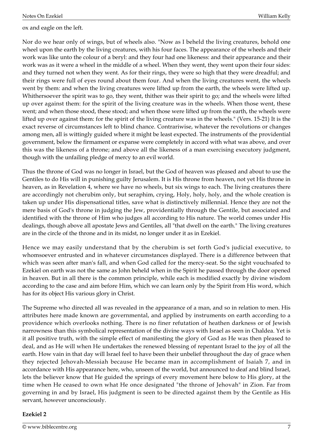ox and eagle on the left.

Nor do we hear only of wings, but of wheels also. "Now as I beheld the living creatures, behold one wheel upon the earth by the living creatures, with his four faces. The appearance of the wheels and their work was like unto the colour of a beryl: and they four had one likeness: and their appearance and their work was as it were a wheel in the middle of a wheel. When they went, they went upon their four sides: and they turned not when they went. As for their rings, they were so high that they were dreadful; and their rings were full of eyes round about them four. And when the living creatures went, the wheels went by them: and when the living creatures were lifted up from the earth, the wheels were lifted up. Whithersoever the spirit was to go, they went, thither was their spirit to go; and the wheels were lifted up over against them: for the spirit of the living creature was in the wheels. When those went, these went; and when those stood, these stood; and when those were lifted up from the earth, the wheels were lifted up over against them: for the spirit of the living creature was in the wheels." (Vers. 15-21) It is the exact reverse of circumstances left to blind chance. Contrariwise, whatever the revolutions or changes among men, all is wittingly guided where it might be least expected. The instruments of the providential government, below the firmament or expanse were completely in accord with what was above, and over this was the likeness of a throne; and above all the likeness of a man exercising executory judgment, though with the unfailing pledge of mercy to an evil world.

Thus the throne of God was no longer in Israel, but the God of heaven was pleased and about to use the Gentiles to do His will in punishing guilty Jerusalem. It is His throne from heaven, not yet His throne in heaven, as in Revelation 4, where we have no wheels, but six wings to each. The living creatures there are accordingly not cherubim only, but seraphim, crying, Holy, holy, holy, and the whole creation is taken up under His dispensational titles, save what is distinctively millennial. Hence they are not the mere basis of God's throne in judging the Jew, providentially through the Gentile, but associated and identified with the throne of Him who judges all according to His nature. The world comes under His dealings, though above all apostate Jews and Gentiles, all "that dwell on the earth." The living creatures are in the circle of the throne and in its midst, no longer under it as in Ezekiel.

Hence we may easily understand that by the cherubim is set forth God's judicial executive, to whomsoever entrusted and in whatever circumstances displayed. There is a difference between that which was seen after man's fall, and when God called for the mercy-seat. So the sight vouchsafed to Ezekiel on earth was not the same as John beheld when in the Spirit he passed through the door opened in heaven. But in all there is the common principle, while each is modified exactly by divine wisdom according to the case and aim before Him, which we can learn only by the Spirit from His word, which has for its object His various glory in Christ.

The Supreme who directed all was revealed in the appearance of a man, and so in relation to men. His attributes here made known are governmental, and applied by instruments on earth according to a providence which overlooks nothing. There is no finer refutation of heathen darkness or of Jewish narrowness than this symbolical representation of the divine ways with Israel as seen in Chaldea. Yet is it all positive truth, with the simple effect of manifesting the glory of God as He was then pleased to deal, and as He will when He undertakes the renewed blessing of repentant Israel to the joy of all the earth. How vain in that day will Israel feel to have been their unbelief throughout the day of grace when they rejected Jehovah-Messiah because He became man in accomplishment of Isaiah 7, and in accordance with His appearance here, who, unseen of the world, but announced to deaf and blind Israel, lets the believer know that He guided the springs of every movement here below to His glory, at the time when He ceased to own what He once designated "the throne of Jehovah" in Zion. Far from governing in and by Israel, His judgment is seen to be directed against them by the Gentile as His servant, however unconsciously.

#### <span id="page-6-0"></span>**Ezekiel 2**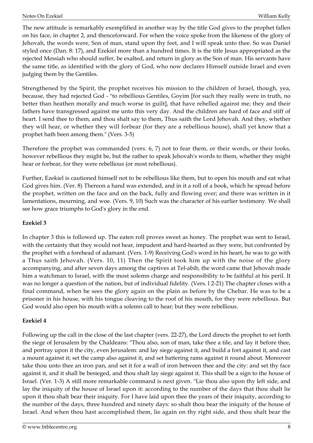The new attitude is remarkably exemplified in another way by the title God gives to the prophet fallen on his face, in chapter 2, and thenceforward. For when the voice spoke from the likeness of the glory of Jehovah, the words were, Son of man, stand upon thy feet, and I will speak unto thee. So was Daniel styled once (Dan. 8: 17), and Ezekiel more than a hundred times. It is the title Jesus appropriated as the rejected Messiah who should suffer, be exalted, and return in glory as the Son of man. His servants have the same title, as identified with the glory of God, who now declares Himself outside Israel and even judging them by the Gentiles.

Strengthened by the Spirit, the prophet receives his mission to the children of Israel, though, yea, because, they had rejected God - "to rebellious Gentiles, Goyim [for such they really were in truth, no better than heathen morally and much worse in guilt], that have rebelled against me; they and their fathers have transgressed against me unto this very day. And the children are hard of face and stiff of heart. I send thee to them, and thou shalt say to them, Thus saith the Lord Jehovah. And they, whether they will hear, or whether they will forbear (for they are a rebellious house), shall yet know that a prophet hath been among them." (Vers. 3-5)

Therefore the prophet was commanded (vers. 6, 7) not to fear them, or their words, or their looks, however rebellious they might be, but the rather to speak Jehovah's words to them, whether they might hear or forbear, for they were rebellious (or most rebellious).

Further, Ezekiel is cautioned himself not to be rebellious like them, but to open his mouth and eat what God gives him. (Ver. 8) Thereon a hand was extended, and in it a roll of a book, which he spread before the prophet, written on the face and on the back, fully and flowing over; and there was written in it lamentations, mourning, and woe. (Vers. 9, 10) Such was the character of his earlier testimony. We shall see how grace triumphs to God's glory in the end.

#### <span id="page-7-0"></span>**Ezekiel 3**

In chapter 3 this is followed up. The eaten roll proves sweet as honey. The prophet was sent to Israel, with the certainty that they would not hear, impudent and hard-hearted as they were, but confronted by the prophet with a forehead of adamant. (Vers. 1-9) Receiving God's word in his heart, he was to go with a Thus saith Jehovah. (Vers. 10, 11) Then the Spirit took him up with the noise of the glory accompanying, and after seven days among the captives at Tel-abib, the word came that Jehovah made him a watchman to Israel, with the most solemn charge and responsibility to be faithful at his peril. It was no longer a question of the nation, but of individual fidelity. (Vers. l 2-21) The chapter closes with a final command, when he sees the glory again on the plain as before by the Chebar. He was to be a prisoner in his house, with his tongue cleaving to the roof of his mouth, for they were rebellious. But God would also open his mouth with a solemn call to hear; but they were rebellious.

#### <span id="page-7-1"></span>**Ezekiel 4**

Following up the call in the close of the last chapter (vers. 22-27), the Lord directs the prophet to set forth the siege of Jerusalem by the Chaldeans: "Thou also, son of man, take thee a tile, and lay it before thee, and portray upon it the city, even Jerusalem: and lay siege against it, and build a fort against it, and cast a mount against it; set the camp also against it, and set battering rams against it round about. Moreover take thou unto thee an iron pan, and set it for a wall of iron between thee and the city: and set thy face against it, and it shall be besieged, and thou shalt lay siege against it. This shall be a sign to the house of Israel. (Ver. 1-3) A still more remarkable command is next given. "Lie thou also upon thy left side, and lay the iniquity of the house of Israel upon it: according to the number of the days that thou shalt lie upon it thou shalt bear their iniquity. For I have laid upon thee the years of their iniquity, according to the number of the days, three hundred and ninety days: so shalt thou bear the iniquity of the house of Israel. And when thou hast accomplished them, lie again on thy right side, and thou shalt bear the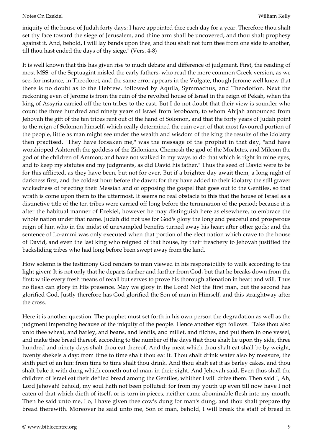iniquity of the house of Judah forty days: I have appointed thee each day for a year. Therefore thou shalt set thy face toward the siege of Jerusalem, and thine arm shall be uncovered, and thou shalt prophesy against it. And, behold, I will lay bands upon thee, and thou shalt not turn thee from one side to another, till thou hast ended the days of thy siege." (Vers. 4-8)

It is well known that this has given rise to much debate and difference of judgment. First, the reading of most MSS. of the Septuagint misled the early fathers, who read the more common Greek version, as we see, for instance, in Theodoret; and the same error appears in the Vulgate, though Jerome well knew that there is no doubt as to the Hebrew, followed by Aquila, Symmachus, and Theodotion. Next the reckoning even of Jerome is from the ruin of the revolted house of Israel in the reign of Pekah, when the king of Assyria carried off the ten tribes to the east. But I do not doubt that their view is sounder who count the three hundred and ninety years of Israel from Jeroboam, to whom Ahijah announced from Jehovah the gift of the ten tribes rent out of the hand of Solomon, and that the forty years of Judah point to the reign of Solomon himself, which really determined the ruin even of that most favoured portion of the people, little as man might see under the wealth and wisdom of the king the results of the idolatry then practised. "They have forsaken me," was the message of the prophet in that day, "and have worshipped Ashtoreth the goddess of the Zidonians, Chemosh the god of the Moabites, and Milcom the god of the children of Ammon; and have not walked in my ways to do that which is right in mine eyes, and to keep my statutes and my judgments, as did David his father." Thus the seed of David were to be for this afflicted, as they have been, but not for ever. But if a brighter day await them, a long night of darkness first, and the coldest hour before the dawn; for they have added to their idolatry the still graver wickedness of rejecting their Messiah and of opposing the gospel that goes out to the Gentiles, so that wrath is come upon them to the uttermost. It seems no real obstacle to this that the house of Israel as a distinctive title of the ten tribes were carried off long before the termination of the period; because it is after the habitual manner of Ezekiel, however he may distinguish here as elsewhere, to embrace the whole nation under that name. Judah did not use for God's glory the long and peaceful and prosperous reign of him who in the midst of unexampled benefits turned away his heart after other gods; and the sentence of Lo-ammi was only executed when that portion of the elect nation which crave to the house of David, and even the last king who reigned of that house, by their treachery to Jehovah justified the backsliding tribes who had long before been swept away from the land.

How solemn is the testimony God renders to man viewed in his responsibility to walk according to the light given! It is not only that he departs farther and farther from God, but that he breaks down from the first; while every fresh means of recall but serves to prove his thorough alienation in heart and will. Thus no flesh can glory in His presence. May we glory in the Lord! Not the first man, but the second has glorified God. Justly therefore has God glorified the Son of man in Himself, and this straightway after the cross.

Here it is another question. The prophet must set forth in his own person the degradation as well as the judgment impending because of the iniquity of the people. Hence another sign follows. "Take thou also unto thee wheat, and barley, and beans, and lentils, and millet, and filches, and put them in one vessel, and make thee bread thereof, according to the number of the days that thou shalt lie upon thy side, three hundred and ninety days shalt thou eat thereof. And thy meat which thou shalt eat shall be by weight, twenty shekels a day: from time to time shalt thou eat it. Thou shalt drink water also by measure, the sixth part of an hin: from time to time shalt thou drink. And thou shalt eat it as barley cakes, and thou shalt bake it with dung which cometh out of man, in their sight. And Jehovah said, Even thus shall the children of Israel eat their defiled bread among the Gentiles, whither I will drive them. Then said I, Ah, Lord Jehovah! behold, my soul hath not been polluted: for from my youth up even till now have I not eaten of that which dieth of itself, or is torn in pieces; neither came abominable flesh into my mouth. Then he said unto me, Lo, I have given thee cow's dung for man's dung, and thou shalt prepare thy bread therewith. Moreover he said unto me, Son of man, behold, I will break the staff of bread in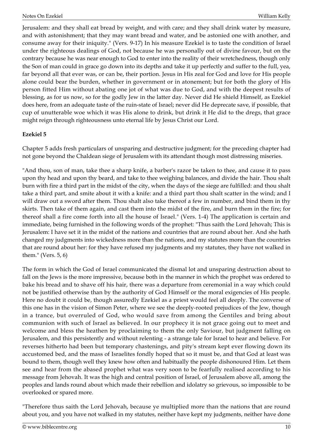Jerusalem: and they shall eat bread by weight, and with care; and they shall drink water by measure, and with astonishment; that they may want bread and water, and be astonied one with another, and consume away for their iniquity." (Vers. 9-17) In his measure Ezekiel is to taste the condition of Israel under the righteous dealings of God, not because he was personally out of divine favour, but on the contrary because he was near enough to God to enter into the reality of their wretchedness, though only the Son of man could in grace go down into its depths and take it up perfectly and suffer to the full, yea, far beyond all that ever was, or can be, their portion. Jesus in His zeal for God and love for His people alone could bear the burden, whether in government or in atonement; but for both the glory of His person fitted Him without abating one jot of what was due to God, and with the deepest results of blessing, as for us now, so for the godly Jew in the latter day. Never did He shield Himself, as Ezekiel does here, from an adequate taste of the ruin-state of Israel; never did He deprecate save, if possible, that cup of unutterable woe which it was His alone to drink, but drink it He did to the dregs, that grace might reign through righteousness unto eternal life by Jesus Christ our Lord.

#### <span id="page-9-0"></span>**Ezekiel 5**

Chapter 5 adds fresh particulars of unsparing and destructive judgment; for the preceding chapter had not gone beyond the Chaldean siege of Jerusalem with its attendant though most distressing miseries.

"And thou, son of man, take thee a sharp knife, a barber's razor be taken to thee, and cause it to pass upon thy head and upon thy beard, and take to thee weighing balances, and divide the hair. Thou shalt burn with fire a third part in the midst of the city, when the days of the siege are fulfilled: and thou shalt take a third part, and smite about it with a knife: and a third part thou shalt scatter in the wind; and I will draw out a sword after them. Thou shalt also take thereof a few in number, and bind them in thy skirts. Then take of them again, and cast them into the midst of the fire, and burn them in the fire; for thereof shall a fire come forth into all the house of Israel." (Vers. 1-4) The application is certain and immediate, being furnished in the following words of the prophet: "Thus saith the Lord Jehovah; This is Jerusalem: I have set it in the midst of the nations and countries that are round about her. And she hath changed my judgments into wickedness more than the nations, and my statutes more than the countries that are round about her: for they have refused my judgments and my statutes, they have not walked in them." (Vers. 5, 6)

The form in which the God of Israel communicated the dismal lot and unsparing destruction about to fall on the Jews is the more impressive, because both in the manner in which the prophet was ordered to bake his bread and to shave off his hair, there was a departure from ceremonial in a way which could not be justified otherwise than by the authority of God Himself or the moral exigencies of His people. Here no doubt it could be, though assuredly Ezekiel as a priest would feel all deeply. The converse of this one has in the vision of Simon Peter, where we see the deeply-rooted prejudices of the Jew, though in a trance, but overruled of God, who would save from among the Gentiles and bring about communion with such of Israel as believed. In our prophecy it is not grace going out to meet and welcome and bless the heathen by proclaiming to them the only Saviour, but judgment falling on Jerusalem, and this persistently and without relenting - a strange tale for Israel to hear and believe. For reverses hitherto had been but temporary chastenings, and pity's stream kept ever flowing down its accustomed bed, and the mass of Israelites fondly hoped that so it must be, and that God at least was bound to them, though well they knew how often and habitually the people dishonoured Him. Let them see and hear from the abased prophet what was very soon to be fearfully realised according to his message from Jehovah. It was the high and central position of Israel, of Jerusalem above all, among the peoples and lands round about which made their rebellion and idolatry so grievous, so impossible to be overlooked or spared more.

"Therefore thus saith the Lord Jehovah, because ye multiplied more than the nations that are round about you, and you have not walked in my statutes, neither have kept my judgments, neither have done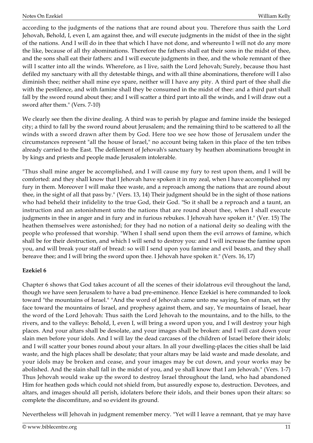according to the judgments of the nations that are round about you. Therefore thus saith the Lord Jehovah, Behold, I, even I, am against thee, and will execute judgments in the midst of thee in the sight of the nations. And I will do in thee that which I have not done, and whereunto I will not do any more the like, because of all thy abominations. Therefore the fathers shall eat their sons in the midst of thee, and the sons shall eat their fathers: and I will execute judgments in thee, and the whole remnant of thee will I scatter into all the winds. Wherefore, as I live, saith the Lord Jehovah; Surely, because thou hast defiled my sanctuary with all thy detestable things, and with all thine abominations, therefore will I also diminish thee; neither shall mine eye spare, neither will I have any pity. A third part of thee shall die with the pestilence, and with famine shall they be consumed in the midst of thee: and a third part shall fall by the sword round about thee; and I will scatter a third part into all the winds, and I will draw out a sword after them." (Vers. 7-10)

We clearly see then the divine dealing. A third was to perish by plague and famine inside the besieged city; a third to fall by the sword round about Jerusalem; and the remaining third to be scattered to all the winds with a sword drawn after them by God. Here too we see how those of Jerusalem under the circumstances represent "all the house of Israel," no account being taken in this place of the ten tribes already carried to the East. The defilement of Jehovah's sanctuary by heathen abominations brought in by kings and priests and people made Jerusalem intolerable.

"Thus shall mine anger be accomplished, and I will cause my fury to rest upon them, and I will be comforted: and they shall know that I Jehovah have spoken it in my zeal, when I have accomplished my fury in them. Moreover I will make thee waste, and a reproach among the nations that are round about thee, in the sight of all that pass by." (Vers. 13, 14) Their judgment should be in the sight of those nations who had beheld their infidelity to the true God, their God. "So it shall be a reproach and a taunt, an instruction and an astonishment unto the nations that are round about thee, when I shall execute judgments in thee in anger and in fury and in furious rebukes. I Jehovah have spoken it." (Ver. 15) The heathen themselves were astonished; for they had no notion of a national deity so dealing with the people who professed that worship. "When I shall send upon them the evil arrows of famine, which shall be for their destruction, and which I will send to destroy you: and I will increase the famine upon you, and will break your staff of bread: so will I send upon you famine and evil beasts, and they shall bereave thee; and I will bring the sword upon thee. I Jehovah have spoken it." (Vers. 16, 17)

#### <span id="page-10-0"></span>**Ezekiel 6**

Chapter 6 shows that God takes account of all the scenes of their idolatrous evil throughout the land, though we have seen Jerusalem to have a bad pre-eminence. Hence Ezekiel is here commanded to look toward "the mountains of Israel." "And the word of Jehovah came unto me saying, Son of man, set thy face toward the mountains of Israel, and prophesy against them, and say, Ye mountains of Israel, hear the word of the Lord Jehovah: Thus saith the Lord Jehovah to the mountains, and to the hills, to the rivers, and to the valleys: Behold, I, even I, will bring a sword upon you, and I will destroy your high places. And your altars shall be desolate, and your images shall be broken: and I will cast down your slain men before your idols. And I will lay the dead carcases of the children of Israel before their idols; and I will scatter your bones round about your altars. In all your dwelling-places the cities shall be laid waste, and the high places shall be desolate; that your altars may be laid waste and made desolate, and your idols may be broken and cease, and your images may be cut down, and your works may be abolished. And the slain shall fall in the midst of you, and ye shall know that I am Jehovah." (Vers. 1-7) Thus Jehovah would wake up the sword to destroy Israel throughout the land, who had abandoned Him for heathen gods which could not shield from, but assuredly expose to, destruction. Devotees, and altars, and images should all perish, idolaters before their idols, and their bones upon their altars: so complete the discomfiture, and so evident its ground.

Nevertheless will Jehovah in judgment remember mercy. "Yet will I leave a remnant, that ye may have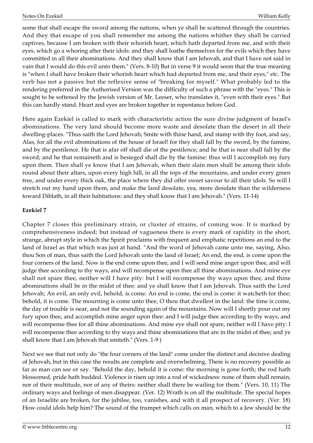some that shall escape the sword among the nations, when ye shall be scattered through the countries. And they that escape of you shall remember me among the nations whither they shall be carried captives, because I am broken with their whorish heart, which hath departed from me, and with their eyes, which go a whoring after their idols: and they shall loathe themselves for the evils which they have committed in all their abominations. And they shall know that I am Jehovah, and that I have not said in vain that I would do this evil unto them." (Vers. 8-10) But in verse 9 it would seem that the true meaning is "when I shall have broken their whorish heart which had departed from me, and their eyes," etc. The verb has not a passive but the reflexive sense of "breaking for myself." What probably led to the rendering preferred in the Authorised Version was the difficulty of such a phrase with the "eyes." This is sought to be softened by the Jewish version of Mr. Leeser, who translates it, "even with their eyes." But this can hardly stand. Heart and eyes are broken together in repentance before God.

Here again Ezekiel is called to mark with characteristic action the sure divine judgment of Israel's abominations. The very land should become more waste and desolate than the desert in all their dwelling-places. "Thus saith the Lord Jehovah; Smite with thine hand, and stamp with thy foot, and say, Alas, for all the evil abominations of the house of Israel! for they shall fall by the sword, by the famine, and by the pestilence. He that is afar off shall die of the pestilence; and he that is near shall fall by the sword; and he that remaineth and is besieged shall die by the famine: thus will I accomplish my fury upon them. Then shall ye know that I am Jehovah, when their slain men shall be among their idols round about their altars, upon every high hill, in all the tops of the mountains, and under every green tree, and under every thick oak, the place where they did offer sweet savour to all their idols. So will I stretch out my hand upon them, and make the land desolate, yea, more desolate than the wilderness toward Diblath, in all their habitations: and they shall know that I am Jehovah." (Vers. 11-14)

#### <span id="page-11-0"></span>**Ezekiel 7**

Chapter 7 closes this preliminary strain, or cluster of strains, of coming woe. It is marked by comprehensiveness indeed; but instead of vagueness there is every mark of rapidity in the short, strange, abrupt style in which the Spirit proclaims with frequent and emphatic repetitions an end to the land of Israel as that which was just at hand. "And the word of Jehovah came unto me, saying, Also, thou Son of man, thus saith the Lord Jehovah unto the land of Israel; An end, the end, is come upon the four corners of the land. Now is the end come upon thee, and I will send mine anger upon thee, and will judge thee according to thy ways, and will recompense upon thee all thine abominations. And mine eye shall not spare thee, neither will I have pity: but I will recompense thy ways upon thee, and thine abominations shall be in the midst of thee: and ye shall know that I am Jehovah. Thus saith the Lord Jehovah; An evil, an only evil, behold, is come. An end is come, the end is come: it watcheth for thee; behold, it is come. The mourning is come unto thee, O thou that dwellest in the land: the time is come, the day of trouble is near, and not the sounding again of the mountains. Now will I shortly pour out my fury upon thee, and accomplish mine anger upon thee: and I will judge thee according to thy ways, and will recompense thee for all thine abominations. And mine eye shall not spare, neither will I have pity: I will recompense thee according to thy ways and thine abominations that are in the midst of thee; and ye shall know that I am Jehovah that smiteth." (Vers. 1-9 )

Next we see that not only do "the four corners of the land" come under the distinct and decisive dealing of Jehovah, but in this case the results are complete and overwhelming. There is no recovery possible as far as man can see or say. "Behold the day, behold it is come: the morning is gone forth; the rod hath blossomed, pride hath budded. Violence is risen up into a rod of wickedness: none of them shall remain, nor of their multitude, nor of any of theirs: neither shall there be wailing for them." (Vers. 10, 11) The ordinary ways and feelings of men disappear. (Ver. 12) Wrath is on all the multitude. The special hopes of an Israelite are broken, for the jubilee, too, vanishes, and with it all prospect of recovery. (Ver. 18) How could idols help him? The sound of the trumpet which calls on man, which to a Jew should be the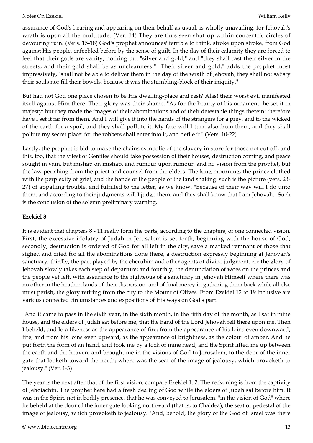assurance of God's hearing and appearing on their behalf as usual, is wholly unavailing; for Jehovah's wrath is upon all the multitude. (Ver. 14) They are thus seen shut up within concentric circles of devouring ruin. (Vers. 15-18) God's prophet announces' terrible to think, stroke upon stroke, from God against His people, enfeebled before by the sense of guilt. In the day of their calamity they are forced to feel that their gods are vanity, nothing but "silver and gold," and "they shall cast their silver in the streets, and their gold shall be as uncleanness." "Their silver and gold," adds the prophet most impressively, "shall not be able to deliver them in the day of the wrath of Jehovah; they shall not satisfy their souls nor fill their bowels, because it was the stumbling-block of their iniquity."

But had not God one place chosen to be His dwelling-place and rest? Alas! their worst evil manifested itself against Him there. Their glory was their shame. "As for the beauty of his ornament, he set it in majesty: but they made the images of their abominations and of their detestable things therein: therefore have I set it far from them. And I will give it into the hands of the strangers for a prey, and to the wicked of the earth for a spoil; and they shall pollute it. My face will I turn also from them, and they shall pollute my secret place: for the robbers shall enter into it, and defile it." (Vers. 10-22)

Lastly, the prophet is bid to make the chains symbolic of the slavery in store for those not cut off, and this, too, that the vilest of Gentiles should take possession of their houses, destruction coming, and peace sought in vain, but mishap on mishap, and rumour upon rumour, and no vision from the prophet, but the law perishing from the priest and counsel from the elders. The king mourning, the prince clothed with the perplexity of grief, and the hands of the people of the land shaking: such is the picture (vers. 23- 27) of appalling trouble, and fulfilled to the letter, as we know. "Because of their way will I do unto them, and according to their judgments will I judge them; and they shall know that I am Jehovah." Such is the conclusion of the solemn preliminary warning.

#### <span id="page-12-0"></span>**Ezekiel 8**

It is evident that chapters 8 - 11 really form the parts, according to the chapters, of one connected vision. First, the excessive idolatry of Judah in Jerusalem is set forth, beginning with the house of God; secondly, destruction is ordered of God for all left in the city, save a marked remnant of those that sighed and cried for all the abominations done there, a destruction expressly beginning at Jehovah's sanctuary; thirdly, the part played by the cherubim and other agents of divine judgment, ere the glory of Jehovah slowly takes each step of departure; and fourthly, the denunciation of woes on the princes and the people yet left, with assurance to the righteous of a sanctuary in Jehovah Himself where there was no other in the heathen lands of their dispersion, and of final mercy in gathering them back while all else must perish, the glory retiring from the city to the Mount of Olives. From Ezekiel 12 to 19 inclusive are various connected circumstances and expositions of His ways on God's part.

"And it came to pass in the sixth year, in the sixth month, in the fifth day of the month, as I sat in mine house, and the elders of Judah sat before me, that the hand of the Lord Jehovah fell there upon me. Then I beheld, and lo a likeness as the appearance of fire; from the appearance of his loins even downward, fire; and from his loins even upward, as the appearance of brightness, as the colour of amber. And he put forth the form of an hand, and took me by a lock of mine head; and the Spirit lifted me up between the earth and the heaven, and brought me in the visions of God to Jerusalem, to the door of the inner gate that looketh toward the north; where was the seat of the image of jealousy, which provoketh to jealousy." (Ver. 1-3)

The year is the next after that of the first vision: compare Ezekiel 1: 2. The reckoning is from the captivity of Jehoiachin. The prophet here had a fresh dealing of God while the elders of Judah sat before him. It was in the Spirit, not in bodily presence, that he was conveyed to Jerusalem, "in the vision of God" where he beheld at the door of the inner gate looking northward (that is, to Chaldea), the seat or pedestal of the image of jealousy, which provoketh to jealousy. "And, behold, the glory of the God of Israel was there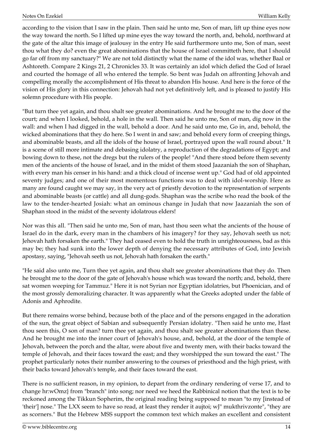according to the vision that I saw in the plain. Then said he unto me, Son of man, lift up thine eyes now the way toward the north. So I lifted up mine eyes the way toward the north, and, behold, northward at the gate of the altar this image of jealousy in the entry He said furthermore unto me, Son of man, seest thou what they do? even the great abominations that the house of Israel committeth here, that I should go far off from my sanctuary?" We are not told distinctly what the name of the idol was, whether Baal or Ashtoreth. Compare 2 Kings 21, 2 Chronicles 33. It was certainly an idol which defied the God of Israel and courted the homage of all who entered the temple. So bent was Judah on affronting Jehovah and compelling morally the accomplishment of His threat to abandon His house. And here is the force of the vision of His glory in this connection: Jehovah had not yet definitively left, and is pleased to justify His solemn procedure with His people.

"But turn thee yet again, and thou shalt see greater abominations. And he brought me to the door of the court; and when I looked, behold, a hole in the wall. Then said he unto me, Son of man, dig now in the wall: and when I had digged in the wall, behold a door. And he said unto me, Go in, and, behold, the wicked abominations that they do here. So I went in and saw; and behold every form of creeping things, and abominable beasts, and all the idols of the house of Israel, portrayed upon the wall round about." It is a scene of still more intimate and debasing idolatry, a reproduction of the degradations of Egypt; and bowing down to these, not the dregs but the rulers of the people! "And there stood before them seventy men of the ancients of the house of Israel, and in the midst of them stood Jaazaniah the son of Shaphan, with every man his censer in his hand: and a thick cloud of incense went up." God had of old appointed seventy judges; and one of their most momentous functions was to deal with idol-worship. Here as many are found caught we may say, in the very act of priestly devotion to the representation of serpents and abominable beasts (or cattle) and all dung-gods. Shaphan was the scribe who read the book of the law to the tender-hearted Josiah: what an ominous change in Judah that now Jaazaniah the son of Shaphan stood in the midst of the seventy idolatrous elders!

Nor was this all. "Then said he unto me, Son of man, hast thou seen what the ancients of the house of Israel do in the dark, every man in the chambers of his imagery? for they say, Jehovah seeth us not; Jehovah hath forsaken the earth." They had ceased even to hold the truth in unrighteousness, bad as this may be; they had sunk into the lower depth of denying the necessary attributes of God, into Jewish apostasy, saying, "Jehovah seeth us not, Jehovah hath forsaken the earth."

"He said also unto me, Turn thee yet again, and thou shalt see greater abominations that they do. Then he brought me to the door of the gate of Jehovah's house which was toward the north; and, behold, there sat women weeping for Tammuz." Here it is not Syrian nor Egyptian idolatries, but Phoenician, and of the most grossly demoralizing character. It was apparently what the Greeks adopted under the fable of Adonis and Aphrodite.

But there remains worse behind, because both of the place and of the persons engaged in the adoration of the sun, the great object of Sabian and subsequently Persian idolatry. "Then said he unto me, Hast thou seen this, O son of man? turn thee yet again, and thou shalt see greater abominations than these. And he brought me into the inner court of Jehovah's house, and, behold, at the door of the temple of Jehovah, between the porch and the altar, were about five and twenty men, with their backs toward the temple of Jehovah, and their faces toward the east; and they worshipped the sun toward the east." The prophet particularly notes their number answering to the courses of priesthood and the high priest, with their backs toward Jehovah's temple, and their faces toward the east.

There is no sufficient reason, in my opinion, to depart from the ordinary rendering of verse 17, and to change hr:wOmz} from "branch" into song; nor need we heed the Rabbinical notion that the text is to be reckoned among the Tikkun Sopherim, the original reading being supposed to mean "to my [instead of 'their'] nose." The LXX seem to have so read, at least they render it aujtoi; wJ" mukthrivzonte", "they are as scorners." But the Hebrew MSS support the common text which makes an excellent and consistent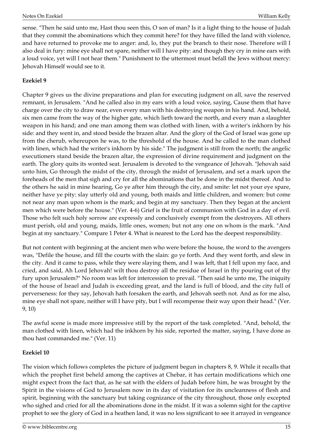sense. "Then he said unto me, Hast thou seen this, O son of man? Is it a light thing to the house of Judah that they commit the abominations which they commit here? for they have filled the land with violence, and have returned to provoke me to anger: and, lo, they put the branch to their nose. Therefore will I also deal in fury: mine eye shall not spare, neither will I have pity: and though they cry in mine ears with a loud voice, yet will I not hear them." Punishment to the uttermost must befall the Jews without mercy: Jehovah Himself would see to it.

#### <span id="page-14-0"></span>**Ezekiel 9**

Chapter 9 gives us the divine preparations and plan for executing judgment on all, save the reserved remnant, in Jerusalem. "And he called also in my ears with a loud voice, saying, Cause them that have charge over the city to draw near, even every man with his destroying weapon in his hand. And, behold, six men came from the way of the higher gate, which lieth toward the north, and every man a slaughter weapon in his hand; and one man among them was clothed with linen, with a writer's inkhorn by his side: and they went in, and stood beside the brazen altar. And the glory of the God of Israel was gone up from the cherub, whereupon he was, to the threshold of the house. And he called to the man clothed with linen, which had the writer's inkhorn by his side." The judgment is still from the north; the angelic executioners stand beside the brazen altar, the expression of divine requirement and judgment on the earth. The glory quits its wonted seat. Jerusalem is devoted to the vengeance of Jehovah. "Jehovah said unto him, Go through the midst of the city, through the midst of Jerusalem, and set a mark upon the foreheads of the men that sigh and cry for all the abominations that be done in the midst thereof. And to the others he said in mine hearing, Go ye after him through the city, and smite: let not your eye spare, neither have ye pity: slay utterly old and young, both maids and little children, and women: but come not near any man upon whom is the mark; and begin at my sanctuary. Then they began at the ancient men which were before the house." (Ver. 4-6) Grief is the fruit of communion with God in a day of evil. Those who felt such holy sorrow are expressly and conclusively exempt from the destroyers. All others must perish, old and young, maids, little ones, women; but not any one on whom is the mark. "And begin at my sanctuary." Compare 1 Peter 4. What is nearest to the Lord has the deepest responsibility.

But not content with beginning at the ancient men who were before the house, the word to the avengers was, "Defile the house, and fill the courts with the slain: go ye forth. And they went forth, and slew in the city. And it came to pass, while they were slaying them, and I was left, that I fell upon my face, and cried, and said, Ah Lord Jehovah! wilt thou destroy all the residue of Israel in thy pouring out of thy fury upon Jerusalem?" No room was left for intercession to prevail. "Then said he unto me, The iniquity of the house of Israel and Judah is exceeding great, and the land is full of blood, and the city full of perverseness: for they say, Jehovah hath forsaken the earth, and Jehovah seeth not. And as for me also, mine eye shall not spare, neither will I have pity, but I will recompense their way upon their head." (Ver. 9, 10)

The awful scene is made more impressive still by the report of the task completed. "And, behold, the man clothed with linen, which had the inkhorn by his side, reported the matter, saying, I have done as thou hast commanded me." (Ver. 11)

#### <span id="page-14-1"></span>**Ezekiel 10**

The vision which follows completes the picture of judgment begun in chapters 8, 9. While it recalls that which the prophet first beheld among the captives at Chebar, it has certain modifications which one might expect from the fact that, as he sat with the elders of Judah before him, he was brought by the Spirit in the visions of God to Jerusalem now in its day of visitation for its uncleanness of flesh and spirit, beginning with the sanctuary but taking cognizance of the city throughout, those only excepted who sighed and cried for all the abominations done in the midst. If it was a solemn sight for the captive prophet to see the glory of God in a heathen land, it was no less significant to see it arrayed in vengeance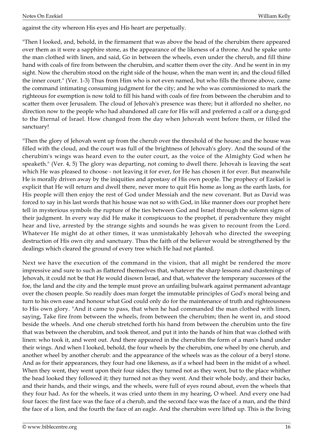against the city whereon His eyes and His heart are perpetually.

"Then I looked, and, behold, in the firmament that was above the head of the cherubim there appeared over them as it were a sapphire stone, as the appearance of the likeness of a throne. And he spake unto the man clothed with linen, and said, Go in between the wheels, even under the cherub, and fill thine hand with coals of fire from between the cherubim, and scatter them over the city. And he went in in my sight. Now the cherubim stood on the right side of the house, when the man went in; and the cloud filled the inner court." (Ver. 1-3) Thus from Him who is not even named, but who fills the throne above, came the command intimating consuming judgment for the city; and he who was commissioned to mark the righteous for exemption is now told to fill his hand with coals of fire from between the cherubim and to scatter them over Jerusalem. The cloud of Jehovah's presence was there; but it afforded no shelter, no direction now to the people who had abandoned all care for His will and preferred a calf or a dung-god to the Eternal of Israel. How changed from the day when Jehovah went before them, or filled the sanctuary!

"Then the glory of Jehovah went up from the cherub over the threshold of the house; and the house was filled with the cloud, and the court was full of the brightness of Jehovah's glory. And the sound of the cherubim's wings was heard even to the outer court, as the voice of the Almighty God when he speaketh." (Ver. 4, 5) The glory was departing, not coming to dwell there. Jehovah is leaving the seat which He was pleased to choose - not leaving it for ever, for He has chosen it for ever. But meanwhile He is morally driven away by the iniquities and apostasy of His own people. The prophecy of Ezekiel is explicit that He will return and dwell there, never more to quit His home as long as the earth lasts, for His people will then enjoy the rest of God under Messiah and the new covenant. But as David was forced to say in his last words that his house was not so with God, in like manner does our prophet here tell in mysterious symbols the rupture of the ties between God and Israel through the solemn signs of their judgment. In every way did He make it conspicuous to the prophet, if peradventure they might hear and live, arrested by the strange sights and sounds he was given to recount from the Lord. Whatever He might do at other times, it was unmistakably Jehovah who directed the sweeping destruction of His own city and sanctuary. Thus the faith of the believer would be strengthened by the dealings which cleared the ground of every tree which He had not planted.

Next we have the execution of the command in the vision, that all might be rendered the more impressive and sure to such as flattered themselves that, whatever the sharp lessons and chastenings of Jehovah, it could not be that He would disown Israel, and that, whatever the temporary successes of the foe, the land and the city and the temple must prove an unfailing bulwark against permanent advantage over the chosen people. So readily does man forget the immutable principles of God's moral being and turn to his own ease and honour what God could only do for the maintenance of truth and righteousness to His own glory. "And it came to pass, that when he had commanded the man clothed with linen, saying, Take fire from between the wheels, from between the cherubim; then he went in, and stood beside the wheels. And one cherub stretched forth his hand from between the cherubim unto the fire that was between the cherubim, and took thereof, and put it into the hands of him that was clothed with linen: who took it, and went out. And there appeared in the cherubim the form of a man's hand under their wings. And when I looked, behold, the four wheels by the cherubim, one wheel by one cherub, and another wheel by another cherub: and the appearance of the wheels was as the colour of a beryl stone. And as for their appearances, they four had one likeness, as if a wheel had been in the midst of a wheel. When they went, they went upon their four sides; they turned not as they went, but to the place whither the head looked they followed it; they turned not as they went. And their whole body, and their backs, and their hands, and their wings, and the wheels, were full of eyes round about, even the wheels that they four had. As for the wheels, it was cried unto them in my hearing, O wheel. And every one had four faces: the first face was the face of a cherub, and the second face was the face of a man, and the third the face of a lion, and the fourth the face of an eagle. And the cherubim were lifted up. This is the living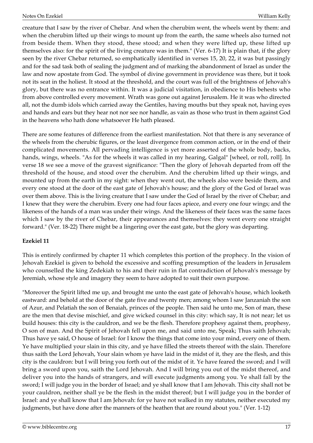creature that I saw by the river of Chebar. And when the cherubim went, the wheels went by them: and when the cherubim lifted up their wings to mount up from the earth, the same wheels also turned not from beside them. When they stood, these stood; and when they were lifted up, these lifted up themselves also: for the spirit of the living creature was in them." (Ver. 6-17) It is plain that, if the glory seen by the river Chebar returned, so emphatically identified in verses 15, 20, 22, it was but passingly and for the sad task both of sealing the judgment and of marking the abandonment of Israel as under the law and now apostate from God. The symbol of divine government in providence was there, but it took not its seat in the holiest. It stood at the threshold, and the court was full of the brightness of Jehovah's glory, but there was no entrance within. It was a judicial visitation, in obedience to His behests who from above controlled every movement. Wrath was gone out against Jerusalem. He it was who directed all, not the dumb idols which carried away the Gentiles, having mouths but they speak not, having eyes and hands and ears but they hear not nor see nor handle, as vain as those who trust in them against God in the heavens who hath done whatsoever He hath pleased.

There are some features of difference from the earliest manifestation. Not that there is any severance of the wheels from the cherubic figures, or the least divergence from common action, or in the end of their complicated movements. All pervading intelligence is yet more asserted of the whole body, backs, hands, wings, wheels. "As for the wheels it was called in my hearing, Galgal" [wheel, or roll, roll]. In verse 18 we see a move of the gravest significance: "Then the glory of Jehovah departed from off the threshold of the house, and stood over the cherubim. And the cherubim lifted up their wings, and mounted up from the earth in my sight: when they went out, the wheels also were beside them, and every one stood at the door of the east gate of Jehovah's house; and the glory of the God of Israel was over them above. This is the living creature that I saw under the God of Israel by the river of Chebar; and I knew that they were the cherubim. Every one had four faces apiece, and every one four wings; and the likeness of the hands of a man was under their wings. And the likeness of their faces was the same faces which I saw by the river of Chebar, their appearances and themselves: they went every one straight forward." (Ver. 18-22) There might be a lingering over the east gate, but the glory was departing.

#### <span id="page-16-0"></span>**Ezekiel 11**

This is entirely confirmed by chapter 11 which completes this portion of the prophecy. In the vision of Jehovah Ezekiel is given to behold the excessive and scoffing presumption of the leaders in Jerusalem who counselled the king Zedekiah to his and their ruin in flat contradiction of Jehovah's message by Jeremiah, whose style and imagery they seem to have adopted to suit their own purpose.

"Moreover the Spirit lifted me up, and brought me unto the east gate of Jehovah's house, which looketh eastward: and behold at the door of the gate five and twenty men; among whom I saw Janzaniah the son of Azur, and Pelatiah the son of Benaiah, princes of the people. Then said he unto me, Son of man, these are the men that devise mischief, and give wicked counsel in this city: which say, It is not near; let us build houses: this city is the cauldron, and we be the flesh. Therefore prophesy against them, prophesy, O son of man. And the Spirit of Jehovah fell upon me, and said unto me, Speak; Thus saith Jehovah; Thus have ye said, O house of Israel: for I know the things that come into your mind, every one of them. Ye have multiplied your slain in this city, and ye have filled the streets thereof with the slain. Therefore thus saith the Lord Jehovah, Your slain whom ye have laid in the midst of it, they are the flesh, and this city is the cauldron: but I will bring you forth out of the midst of it. Ye have feared the sword; and I will bring a sword upon you, saith the Lord Jehovah. And I will bring you out of the midst thereof, and deliver you into the hands of strangers, and will execute judgments among you. Ye shall fall by the sword; I will judge you in the border of Israel; and ye shall know that I am Jehovah. This city shall not be your cauldron, neither shall ye be the flesh in the midst thereof; but I will judge you in the border of Israel: and ye shall know that I am Jehovah: for ye have not walked in my statutes, neither executed my judgments, but have done after the manners of the heathen that are round about you." (Ver. 1-12)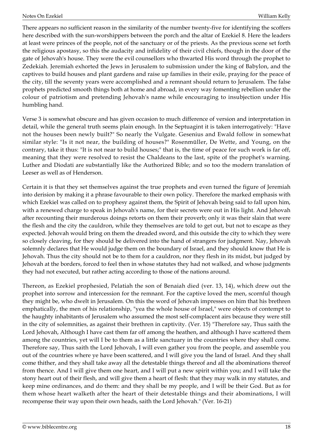There appears no sufficient reason in the similarity of the number twenty-five for identifying the scoffers here described with the sun-worshippers between the porch and the altar of Ezekiel 8. Here the leaders at least were princes of the people, not of the sanctuary or of the priests. As the previous scene set forth the religious apostasy, so this the audacity and infidelity of their civil chiefs, though in the door of the gate of Jehovah's house. They were the evil counsellors who thwarted His word through the prophet to Zedekiah. Jeremiah exhorted the Jews in Jerusalem to submission under the king of Babylon, and the captives to build houses and plant gardens and raise up families in their exile, praying for the peace of the city, till the seventy years were accomplished and a remnant should return to Jerusalem. The false prophets predicted smooth things both at home and abroad, in every way fomenting rebellion under the colour of patriotism and pretending Jehovah's name while encouraging to insubjection under His humbling hand.

Verse 3 is somewhat obscure and has given occasion to much difference of version and interpretation in detail, while the general truth seems plain enough. In the Septuagint it is taken interrogatively: "Have not the houses been newly built?" So nearly the Vulgate. Gesenius and Ewald follow in somewhat similar style: "Is it not near, the building of houses?" Rosenmüller, De Wette, and Young, on the contrary, take it thus: "It is not near to build houses;" that is, the time of peace for such work is far off, meaning that they were resolved to resist the Chaldeans to the last, spite of the prophet's warning. Luther and Diodati are substantially like the Authorized Bible; and so too the modern translation of Leeser as well as of Henderson.

Certain it is that they set themselves against the true prophets and even turned the figure of Jeremiah into derision by making it a phrase favourable to their own policy. Therefore the marked emphasis with which Ezekiel was called on to prophesy against them, the Spirit of Jehovah being said to fall upon him, with a renewed charge to speak in Jehovah's name, for their secrets were out in His light. And Jehovah after recounting their murderous doings retorts on them their proverb; only it was their slain that were the flesh and the city the cauldron, while they themselves are told to get out, but not to escape as they expected. Jehovah would bring on them the dreaded sword, and this outside the city to which they were so closely cleaving, for they should be delivered into the hand of strangers for judgment. Nay, Jehovah solemnly declares that He would judge them on the boundary of Israel, and they should know that He is Jehovah. Thus the city should not be to them for a cauldron, nor they flesh in its midst, but judged by Jehovah at the borders, forced to feel then in whose statutes they had not walked, and whose judgments they had not executed, but rather acting according to those of the nations around.

Thereon, as Ezekiel prophesied, Pelatiah the son of Benaiah died (ver. 13, 14), which drew out the prophet into sorrow and intercession for the remnant. For the captive loved the men, scornful though they might be, who dwelt in Jerusalem. On this the word of Jehovah impresses on him that his brethren emphatically, the men of his relationship, "yea the whole house of Israel," were objects of contempt to the haughty inhabitants of Jerusalem who assumed the most self-complacent airs because they were still in the city of solemnities, as against their brethren in captivity. (Ver. 15) "Therefore say, Thus saith the Lord Jehovah, Although I have cast them far off among the heathen, and although I have scattered them among the countries, yet will I be to them as a little sanctuary in the countries where they shall come. Therefore say, Thus saith the Lord Jehovah, I will even gather you from the people, and assemble you out of the countries where ye have been scattered, and I will give you the land of Israel. And they shall come thither, and they shall take away all the detestable things thereof and all the abominations thereof from thence. And I will give them one heart, and I will put a new spirit within you; and I will take the stony heart out of their flesh, and will give them a heart of flesh: that they may walk in my statutes, and keep mine ordinances, and do them: and they shall be my people, and I will be their God. But as for them whose heart walketh after the heart of their detestable things and their abominations, I will recompense their way upon their own heads, saith the Lord Jehovah." (Ver. 16-21)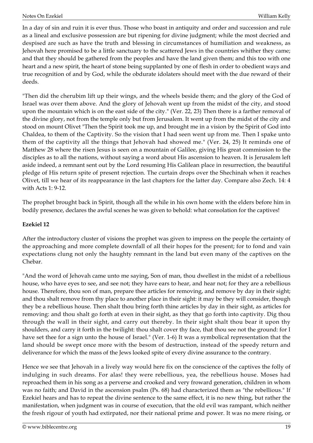In a day of sin and ruin it is ever thus. Those who boast in antiquity and order and succession and rule as a lineal and exclusive possession are but ripening for divine judgment; while the most decried and despised are such as have the truth and blessing in circumstances of humiliation and weakness, as Jehovah here promised to be a little sanctuary to the scattered Jews in the countries whither they came; and that they should be gathered from the peoples and have the land given them; and this too with one heart and a new spirit, the heart of stone being supplanted by one of flesh in order to obedient ways and true recognition of and by God, while the obdurate idolaters should meet with the due reward of their deeds.

"Then did the cherubim lift up their wings, and the wheels beside them; and the glory of the God of Israel was over them above. And the glory of Jehovah went up from the midst of the city, and stood upon the mountain which is on the east side of the city." (Ver. 22, 23) Then there is a farther removal of the divine glory, not from the temple only but from Jerusalem. It went up from the midst of the city and stood on mount Olivet "Then the Spirit took me up, and brought me in a vision by the Spirit of God into Chaldea, to them of the Captivity. So the vision that I had seen went up from me. Then I spake unto them of the captivity all the things that Jehovah had showed me." (Ver. 24, 25) It reminds one of Matthew 28 where the risen Jesus is seen on a mountain of Galilee, giving His great commission to the disciples as to all the nations, without saying a word about His ascension to heaven. It is Jerusalem left aside indeed, a remnant sent out by the Lord resuming His Galilean place in resurrection, the beautiful pledge of His return spite of present rejection. The curtain drops over the Shechinah when it reaches Olivet, till we hear of its reappearance in the last chapters for the latter day. Compare also Zech. 14: 4 with Acts 1: 9-12.

The prophet brought back in Spirit, though all the while in his own home with the elders before him in bodily presence, declares the awful scenes he was given to behold: what consolation for the captives!

#### <span id="page-18-0"></span>**Ezekiel 12**

After the introductory cluster of visions the prophet was given to impress on the people the certainty of the approaching and more complete downfall of all their hopes for the present; for to fond and vain expectations clung not only the haughty remnant in the land but even many of the captives on the Chebar.

"And the word of Jehovah came unto me saying, Son of man, thou dwellest in the midst of a rebellious house, who have eyes to see, and see not; they have ears to hear, and hear not; for they are a rebellious house. Therefore, thou son of man, prepare thee articles for removing, and remove by day in their sight; and thou shalt remove from thy place to another place in their sight: it may be they will consider, though they be a rebellious house. Then shalt thou bring forth thine articles by day in their sight, as articles for removing: and thou shalt go forth at even in their sight, as they that go forth into captivity. Dig thou through the wall in their sight, and carry out thereby. In their sight shalt thou bear it upon thy shoulders, and carry it forth in the twilight: thou shalt cover thy face, that thou see not the ground: for I have set thee for a sign unto the house of Israel." (Ver. 1-6) It was a symbolical representation that the land should be swept once more with the besom of destruction, instead of the speedy return and deliverance for which the mass of the Jews looked spite of every divine assurance to the contrary.

Hence we see that Jehovah in a lively way would here fix on the conscience of the captives the folly of indulging in such dreams. For alas! they were rebellious, yea, the rebellious house. Moses had reproached them in his song as a perverse and crooked and very froward generation, children in whom was no faith; and David in the ascension psalm (Ps. 68) had characterized them as "the rebellious." If Ezekiel hears and has to repeat the divine sentence to the same effect, it is no new thing, but rather the manifestation, when judgment was in course of execution, that the old evil was rampant, which neither the fresh rigour of youth had extirpated, nor their national prime and power. It was no mere rising, or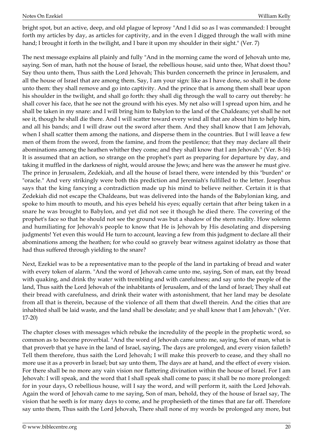bright spot, but an active, deep, and old plague of leprosy "And I did so as I was commanded: I brought forth my articles by day, as articles for captivity, and in the even I digged through the wall with mine hand; I brought it forth in the twilight, and I bare it upon my shoulder in their sight." (Ver. 7)

The next message explains all plainly and fully "And in the morning came the word of Jehovah unto me, saying. Son of man, hath not the house of Israel, the rebellious house, said unto thee, What doest thou? Say thou unto them, Thus saith the Lord Jehovah; This burden concerneth the prince in Jerusalem, and all the house of Israel that are among them. Say, I am your sign: like as I have done, so shall it be done unto them: they shall remove and go into captivity. And the prince that is among them shall bear upon his shoulder in the twilight, and shall go forth: they shall dig through the wall to carry out thereby: he shall cover his face, that he see not the ground with his eyes. My net also will I spread upon him, and he shall be taken in my snare: and I will bring him to Babylon to the land of the Chaldeans; yet shall he not see it, though he shall die there. And I will scatter toward every wind all that are about him to help him, and all his bands; and I will draw out the sword after them. And they shall know that I am Jehovah, when I shall scatter them among the nations, and disperse them in the countries. But I will leave a few men of them from the sword, from the famine, and from the pestilence; that they may declare all their abominations among the heathen whither they come; and they shall know that I am Jehovah." (Ver. 8-16) It is assumed that an action, so strange on the prophet's part as preparing for departure by day, and taking it muffled in the darkness of night, would arouse the Jews; and here was the answer he must give. The prince in Jerusalem, Zedekiah, and all the house of Israel there, were intended by this "burden" or "oracle." And very strikingly were both this prediction and Jeremiah's fulfilled to the letter. Josephus says that the king fancying a contradiction made up his mind to believe neither. Certain it is that Zedekiah did not escape the Chaldeans, but was delivered into the hands of the Babylonian king, and spoke to him mouth to mouth, and his eyes beheld his eyes; equally certain that after being taken in a snare he was brought to Babylon, and yet did not see it though he died there. The covering of the prophet's face so that he should not see the ground was but a shadow of the stern reality. How solemn and humiliating for Jehovah's people to know that He is Jehovah by His desolating and dispersing judgments! Yet even this would He turn to account, leaving a few from this judgment to declare all their abominations among the heathen; for who could so gravely bear witness against idolatry as those that had thus suffered through yielding to the snare?

Next, Ezekiel was to be a representative man to the people of the land in partaking of bread and water with every token of alarm. "And the word of Jehovah came unto me, saying, Son of man, eat thy bread with quaking, and drink thy water with trembling and with carefulness; and say unto the people of the land, Thus saith the Lord Jehovah of the inhabitants of Jerusalem, and of the land of Israel; They shall eat their bread with carefulness, and drink their water with astonishment, that her land may be desolate from all that is therein, because of the violence of all them that dwell therein. And the cities that are inhabited shall be laid waste, and the land shall be desolate; and ye shall know that I am Jehovah." (Ver. 17-20)

The chapter closes with messages which rebuke the incredulity of the people in the prophetic word, so common as to become proverbial. "And the word of Jehovah came unto me, saying, Son of man, what is that proverb that ye have in the land of Israel, saying, The days are prolonged, and every vision faileth? Tell them therefore, thus saith the Lord Jehovah; I will make this proverb to cease, and they shall no more use it as a proverb in Israel; but say unto them, The days are at hand, and the effect of every vision. For there shall be no more any vain vision nor flattering divination within the house of Israel. For I am Jehovah: I will speak, and the word that I shall speak shall come to pass; it shall be no more prolonged: for in your days, O rebellious house, will I say the word, and will perform it, saith the Lord Jehovah. Again the word of Jehovah came to me saying, Son of man, behold, they of the house of Israel say, The vision that he seeth is for many days to come, and he prophesieth of the times that are far off. Therefore say unto them, Thus saith the Lord Jehovah, There shall none of my words be prolonged any more, but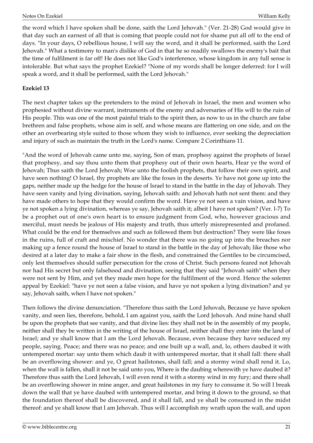the word which I have spoken shall be done, saith the Lord Jehovah." (Ver. 21-28) God would give in that day such an earnest of all that is coming that people could not for shame put all off to the end of days. "In your days, O rebellious house, I will say the word, and it shall be performed, saith the Lord Jehovah." What a testimony to man's dislike of God in that he so readily swallows the enemy's bait that the time of fulfilment is far off! He does not like God's interference, whose kingdom in any full sense is intolerable. But what says the prophet Ezekiel? "None of my words shall be longer deferred: for I will speak a word, and it shall be performed, saith the Lord Jehovah."

#### <span id="page-20-0"></span>**Ezekiel 13**

The next chapter takes up the pretenders to the mind of Jehovah in Israel, the men and women who prophesied without divine warrant, instruments of the enemy and adversaries of His will to the ruin of His people. This was one of the most painful trials to the spirit then, as now to us in the church are false brethren and false prophets, whose aim is self, and whose means are flattering on one side, and on the other an overbearing style suited to those whom they wish to influence, ever seeking the depreciation and injury of such as maintain the truth in the Lord's name. Compare 2 Corinthians 11.

"And the word of Jehovah came unto me, saying, Son of man, prophesy against the prophets of Israel that prophesy, and say thou unto them that prophesy out of their own hearts, Hear ye the word of Jehovah; Thus saith the Lord Jehovah; Woe unto the foolish prophets, that follow their own spirit, and have seen nothing! O Israel, thy prophets are like the foxes in the deserts. Ye have not gone up into the gaps, neither made up the hedge for the house of Israel to stand in the battle in the day of Jehovah. They have seen vanity and lying divination, saying, Jehovah saith: and Jehovah hath not sent them: and they have made others to hope that they would confirm the word. Have ye not seen a vain vision, and have ye not spoken a lying divination, whereas ye say, Jehovah saith it; albeit I have not spoken? (Ver. l-7) To be a prophet out of one's own heart is to ensure judgment from God, who, however gracious and merciful, must needs be jealous of His majesty and truth, thus utterly misrepresented and profaned. What could be the end for themselves and such as followed them but destruction? They were like foxes in the ruins, full of craft and mischief. No wonder that there was no going up into the breaches nor making up a fence round the house of Israel to stand in the battle in the day of Jehovah; like those who desired at a later day to make a fair show in the flesh, and constrained the Gentiles to be circumcised, only lest themselves should suffer persecution for the cross of Christ. Such persons feared not Jehovah nor had His secret but only falsehood and divination, seeing that they said "Jehovah saith" when they were not sent by Him, and yet they made men hope for the fulfilment of the word. Hence the solemn appeal by Ezekiel: "have ye not seen a false vision, and have ye not spoken a lying divination? and ye say, Jehovah saith, when I have not spoken."

Then follows the divine denunciation. "Therefore thus saith the Lord Jehovah, Because ye have spoken vanity, and seen lies, therefore, behold, I am against you, saith the Lord Jehovah. And mine hand shall be upon the prophets that see vanity, and that divine lies: they shall not be in the assembly of my people, neither shall they be written in the writing of the house of Israel, neither shall they enter into the land of Israel; and ye shall know that I am the Lord Jehovah. Because, even because they have seduced my people, saying. Peace; and there was no peace; and one built up a wall, and, lo, others daubed it with untempered mortar: say unto them which daub it with untempered mortar, that it shall fall: there shall be an overflowing shower: and ye, O great hailstones, shall fall; and a stormy wind shall rend it. Lo, when the wall is fallen, shall it not be said unto you, Where is the daubing wherewith ye have daubed it? Therefore thus saith the Lord Jehovah, I will even rend it with a stormy wind in my fury; and there shall be an overflowing shower in mine anger, and great hailstones in my fury to consume it. So will I break down the wall that ye have daubed with untempered mortar, and bring it down to the ground, so that the foundation thereof shall be discovered, and it shall fall, and ye shall be consumed in the midst thereof: and ye shall know that I am Jehovah. Thus will I accomplish my wrath upon the wall, and upon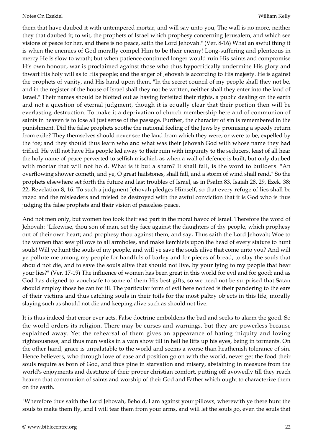them that have daubed it with untempered mortar, and will say unto you, The wall is no more, neither they that daubed it; to wit, the prophets of Israel which prophesy concerning Jerusalem, and which see visions of peace for her, and there is no peace, saith the Lord Jehovah." (Ver. 8-16) What an awful thing it is when the enemies of God morally compel Him to be their enemy! Long-suffering and plenteous in mercy He is slow to wrath; but when patience continued longer would ruin His saints and compromise His own honour, war is proclaimed against those who thus hypocritically undermine His glory and thwart His holy will as to His people; and the anger of Jehovah is according to His majesty. He is against the prophets of vanity, and His hand upon them. "In the secret council of my people shall they not be, and in the register of the house of Israel shall they not be written, neither shall they enter into the land of Israel." Their names should be blotted out as having forfeited their rights, a public dealing on the earth and not a question of eternal judgment, though it is equally clear that their portion then will be everlasting destruction. To make it a deprivation of church membership here and of communion of saints in heaven is to lose all just sense of the passage. Further, the character of sin is remembered in the punishment. Did the false prophets soothe the national feeling of the Jews by promising a speedy return from exile? They themselves should never see the land from which they were, or were to be, expelled by the foe; and they should thus learn who and what was their Jehovah God with whose name they had trifled. He will not have His people led away to their ruin with impunity to the seducers, least of all hear the holy name of peace perverted to selfish mischief; as when a wall of defence is built, but only daubed with mortar that will not hold. What is it but a sham? It shall fall, is the word to builders. "An overflowing shower cometh, and ye, O great hailstones, shall fall, and a storm of wind shall rend." So the prophets elsewhere set forth the future and last troubles of Israel, as in Psalm 83, Isaiah 28, 29, Ezek. 38: 22, Revelation 8, 16. To such a judgment Jehovah pledges Himself, so that every refuge of lies shall be razed and the misleaders and misled be destroyed with the awful conviction that it is God who is thus judging the false prophets and their vision of peaceless peace.

And not men only, but women too took their sad part in the moral havoc of Israel. Therefore the word of Jehovah: "Likewise, thou son of man, set thy face against the daughters of thy people, which prophesy out of their own heart; and prophesy thou against them, and say, Thus saith the Lord Jehovah; Woe to the women that sew pillows to all armholes, and make kerchiefs upon the head of every stature to hunt souls! Will ye hunt the souls of my people, and will ye save the souls alive that come unto you? And will ye pollute me among my people for handfuls of barley and for pieces of bread, to slay the souls that should not die, and to save the souls alive that should not live, by your lying to my people that hear your lies?" (Ver. 17-19) The influence of women has been great in this world for evil and for good; and as God has deigned to vouchsafe to some of them His best gifts, so we need not be surprised that Satan should employ those he can for ill. The particular form of evil here noticed is their pandering to the ears of their victims and thus catching souls in their toils for the most paltry objects in this life, morally slaying such as should not die and keeping alive such as should not live.

It is thus indeed that error ever acts. False doctrine emboldens the bad and seeks to alarm the good. So the world orders its religion. There may be curses and warnings, but they are powerless because explained away. Yet the rehearsal of them gives an appearance of hating iniquity and loving righteousness; and thus man walks in a vain show till in hell he lifts up his eyes, being in torments. On the other hand, grace is unpalatable to the world and seems a worse than heathenish tolerance of sin. Hence believers, who through love of ease and position go on with the world, never get the food their souls require as born of God, and thus pine in starvation and misery, abstaining in measure from the world's enjoyments and destitute of their proper christian comfort, putting off avowedly till they reach heaven that communion of saints and worship of their God and Father which ought to characterize them on the earth.

"Wherefore thus saith the Lord Jehovah, Behold, I am against your pillows, wherewith ye there hunt the souls to make them fly, and I will tear them from your arms, and will let the souls go, even the souls that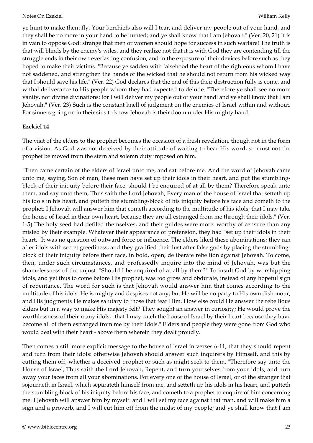ye hunt to make them fly. Your kerchiefs also will I tear, and deliver my people out of your hand, and they shall be no more in your hand to be hunted; and ye shall know that I am Jehovah." (Ver. 20, 21) It is in vain to oppose God: strange that men or women should hope for success in such warfare! The truth is that will blinds by the enemy's wiles, and they realize not that it is with God they are contending till the struggle ends in their own everlasting confusion, and in the exposure of their devices before such as they hoped to make their victims. "Because ye sadden with falsehood the heart of the righteous whom I have not saddened, and strengthen the hands of the wicked that he should not return from his wicked way that I should save his life." (Ver. 22) God declares that the end of this their destruction fully is come, and withal deliverance to His people whom they had expected to delude. "Therefore ye shall see no more vanity, nor divine divinations: for I will deliver my people out of your hand: and ye shall know that I am Jehovah." (Ver. 23) Such is the constant knell of judgment on the enemies of Israel within and without. For sinners going on in their sins to know Jehovah is their doom under His mighty hand.

#### <span id="page-22-0"></span>**Ezekiel 14**

The visit of the elders to the prophet becomes the occasion of a fresh revelation, though not in the form of a vision. As God was not deceived by their attitude of waiting to hear His word, so must not the prophet be moved from the stern and solemn duty imposed on him.

"Then came certain of the elders of Israel unto me, and sat before me. And the word of Jehovah came unto me, saying, Son of man, these men have set up their idols in their heart, and put the stumblingblock of their iniquity before their face: should I be enquired of at all by them? Therefore speak unto them, and say unto them, Thus saith the Lord Jehovah, Every man of the house of Israel that setteth up his idols in his heart, and putteth the stumbling-block of his iniquity before his face and cometh to the prophet; I Jehovah will answer him that cometh according to the multitude of his idols; that I may take the house of Israel in their own heart, because they are all estranged from me through their idols." (Ver. 1-5) The holy seed had defiled themselves, and their guides were more' worthy of censure than any misled by their example. Whatever their appearance or pretension, they had "set up their idols in their heart." It was no question of outward force or influence. The elders liked these abominations; they ran after idols with secret greediness, and they gratified their lust after false gods by placing the stumblingblock of their iniquity before their face, in bold, open, deliberate rebellion against Jehovah. To come, then, under such circumstances, and professedly inquire into the mind of Jehovah, was but the shamelessness of the unjust. "Should I be enquired of at all by them?" To insult God by worshipping idols, and yet thus to come before His prophet, was too gross and obdurate, instead of any hopeful sign of repentance. The word for such is that Jehovah would answer him that comes according to the multitude of his idols. He is mighty and despises not any; but He will be no party to His own dishonour; and His judgments He makes salutary to those that fear Him. How else could He answer the rebellious elders but in a way to make His majesty felt? They sought an answer in curiosity; He would prove the worthlessness of their many idols, "that I may catch the house of Israel by their heart because they have become all of them estranged from me by their idols." Elders and people they were gone from God who would deal with their heart - above them wherein they dealt proudly.

Then comes a still more explicit message to the house of Israel in verses 6-11, that they should repent and turn from their idols: otherwise Jehovah should answer such inquirers by Himself, and this by cutting them off, whether a deceived prophet or such as might seek to them. "Therefore say unto the House of Israel, Thus saith the Lord Jehovah, Repent, and turn yourselves from your idols; and turn away your faces from all your abominations. For every one of the house of Israel, or of the stranger that sojourneth in Israel, which separateth himself from me, and setteth up his idols in his heart, and putteth the stumbling-block of his iniquity before his face, and cometh to a prophet to enquire of him concerning me: I Jehovah will answer him by myself: and I will set my face against that man, and will make him a sign and a proverb, and I will cut him off from the midst of my people; and ye shall know that I am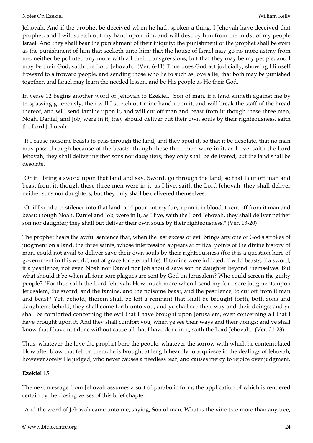Jehovah. And if the prophet be deceived when he hath spoken a thing, I Jehovah have deceived that prophet, and I will stretch out my hand upon him, and will destroy him from the midst of my people Israel. And they shall bear the punishment of their iniquity: the punishment of the prophet shall be even as the punishment of him that seeketh unto him; that the house of Israel may go no more astray from me, neither be polluted any more with all their transgressions; but that they may be my people, and I may be their God, saith the Lord Jehovah." (Ver. 6-11) Thus does God act judicially, showing Himself froward to a froward people, and sending those who lie to such as love a lie; that both may be punished together, and Israel may learn the needed lesson, and be His people as He their God.

In verse 12 begins another word of Jehovah to Ezekiel. "Son of man, if a land sinneth against me by trespassing grievously, then will I stretch out mine hand upon it, and will break the staff of the bread thereof, and will send famine upon it, and will cut off man and beast from it: though these three men, Noah, Daniel, and Job, were in it, they should deliver but their own souls by their righteousness, saith the Lord Jehovah.

"If I cause noisome beasts to pass through the land, and they spoil it, so that it be desolate, that no man may pass through because of the beasts: though these three men were in it, as I live, saith the Lord Jehovah, they shall deliver neither sons nor daughters; they only shall be delivered, but the land shall be desolate.

"Or if I bring a sword upon that land and say, Sword, go through the land; so that I cut off man and beast from it: though these three men were in it, as I live, saith the Lord Jehovah, they shall deliver neither sons nor daughters, but they only shall be delivered themselves.

"Or if I send a pestilence into that land, and pour out my fury upon it in blood, to cut off from it man and beast: though Noah, Daniel and Job, were in it, as I live, saith the Lord Jehovah, they shall deliver neither son nor daughter; they shall but deliver their own souls by their righteousness." (Ver. 13-20)

The prophet hears the awful sentence that, when the last excess of evil brings any one of God's strokes of judgment on a land, the three saints, whose intercession appears at critical points of the divine history of man, could not avail to deliver save their own souls by their righteousness (for it is a question here of government in this world, not of grace for eternal life). If famine were inflicted, if wild beasts, if a sword, if a pestilence, not even Noah nor Daniel nor Job should save son or daughter beyond themselves. But what should it be when all four sore plagues are sent by God on Jerusalem? Who could screen the guilty people? "For thus saith the Lord Jehovah, How much more when I send my four sore judgments upon Jerusalem, the sword, and the famine, and the noisome beast, and the pestilence, to cut off from it man and beast? Yet, behold, therein shall be left a remnant that shall be brought forth, both sons and daughters: behold, they shall come forth unto you, and ye shall see their way and their doings: and ye shall be comforted concerning the evil that I have brought upon Jerusalem, even concerning all that I have brought upon it. And they shall comfort you, when ye see their ways and their doings: and ye shall know that I have not done without cause all that I have done in it, saith the Lord Jehovah." (Ver. 21-23)

Thus, whatever the love the prophet bore the people, whatever the sorrow with which he contemplated blow after blow that fell on them, he is brought at length heartily to acquiesce in the dealings of Jehovah, however sorely He judged; who never causes a needless tear, and causes mercy to rejoice over judgment.

#### <span id="page-23-0"></span>**Ezekiel 15**

The next message from Jehovah assumes a sort of parabolic form, the application of which is rendered certain by the closing verses of this brief chapter.

"And the word of Jehovah came unto me, saying, Son of man, What is the vine tree more than any tree,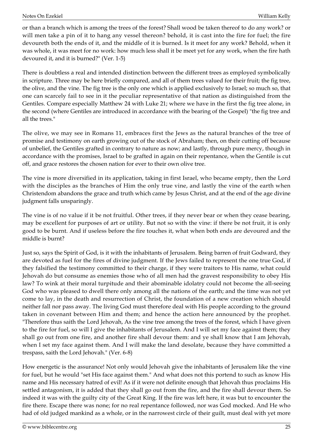or than a branch which is among the trees of the forest? Shall wood be taken thereof to do any work? or will men take a pin of it to hang any vessel thereon? behold, it is cast into the fire for fuel; the fire devoureth both the ends of it, and the middle of it is burned. Is it meet for any work? Behold, when it was whole, it was meet for no work: how much less shall it be meet yet for any work, when the fire hath devoured it, and it is burned?" (Ver. 1-5)

There is doubtless a real and intended distinction between the different trees as employed symbolically in scripture. Three may be here briefly compared, and all of them trees valued for their fruit; the fig tree, the olive, and the vine. The fig tree is the only one which is applied exclusively to Israel; so much so, that one can scarcely fail to see in it the peculiar representative of that nation as distinguished from the Gentiles. Compare especially Matthew 24 with Luke 21; where we have in the first the fig tree alone, in the second (where Gentiles are introduced in accordance with the bearing of the Gospel) "the fig tree and all the trees."

The olive, we may see in Romans 11, embraces first the Jews as the natural branches of the tree of promise and testimony on earth growing out of the stock of Abraham; then, on their cutting off because of unbelief, the Gentiles grafted in contrary to nature as now; and lastly, through pure mercy, though in accordance with the promises, Israel to be grafted in again on their repentance, when the Gentile is cut off, and grace restores the chosen nation for ever to their own olive tree.

The vine is more diversified in its application, taking in first Israel, who became empty, then the Lord with the disciples as the branches of Him the only true vine, and lastly the vine of the earth when Christendom abandons the grace and truth which came by Jesus Christ, and at the end of the age divine judgment falls unsparingly.

The vine is of no value if it be not fruitful. Other trees, if they never bear or when they cease bearing, may be excellent for purposes of art or utility. But not so with the vine: if there be not fruit, it is only good to be burnt. And if useless before the fire touches it, what when both ends are devoured and the middle is burnt?

Just so, says the Spirit of God, is it with the inhabitants of Jerusalem. Being barren of fruit Godward, they are devoted as fuel for the fires of divine judgment. If the Jews failed to represent the one true God, if they falsified the testimony committed to their charge, if they were traitors to His name, what could Jehovah do but consume as enemies those who of all men had the gravest responsibility to obey His law? To wink at their moral turpitude and their abominable idolatry could not become the all-seeing God who was pleased to dwell there only among all the nations of the earth; and the time was not yet come to lay, in the death and resurrection of Christ, the foundation of a new creation which should neither fall nor pass away. The living God must therefore deal with His people according to the ground taken in covenant between Him and them; and hence the action here announced by the prophet. "Therefore thus saith the Lord Jehovah, As the vine tree among the trees of the forest, which I have given to the fire for fuel, so will I give the inhabitants of Jerusalem. And I will set my face against them; they shall go out from one fire, and another fire shall devour them: and ye shall know that I am Jehovah, when I set my face against them. And I will make the land desolate, because they have committed a trespass, saith the Lord Jehovah." (Ver. 6-8)

How energetic is the assurance! Not only would Jehovah give the inhabitants of Jerusalem like the vine for fuel, but he would "set His face against them." And what does not this portend to such as know His name and His necessary hatred of evil! As if it were not definite enough that Jehovah thus proclaims His settled antagonism, it is added that they shall go out from the fire, and the fire shall devour them. So indeed it was with the guilty city of the Great King. If the fire was left here, it was but to encounter the fire there. Escape there was none; for no real repentance followed, nor was God mocked. And He who had of old judged mankind as a whole, or in the narrowest circle of their guilt, must deal with yet more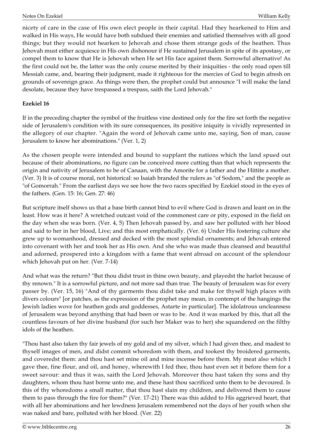nicety of care in the case of His own elect people in their capital. Had they hearkened to Him and walked in His ways, He would have both subdued their enemies and satisfied themselves with all good things; but they would not hearken to Jehovah and chose them strange gods of the heathen. Thus Jehovah must either acquiesce in His own dishonour if He sustained Jerusalem in spite of its apostasy, or compel them to know that He is Jehovah when He set His face against them. Sorrowful alternative! As the first could not be, the latter was the only course merited by their iniquities - the only road open till Messiah came, and, bearing their judgment, made it righteous for the mercies of God to begin afresh on grounds of sovereign grace. As things were then, the prophet could but announce "I will make the land desolate, because they have trespassed a trespass, saith the Lord Jehovah."

#### <span id="page-25-0"></span>**Ezekiel 16**

If in the preceding chapter the symbol of the fruitless vine destined only for the fire set forth the negative side of Jerusalem's condition with its sure consequences, its positive iniquity is vividly represented in the allegory of our chapter. "Again the word of Jehovah came unto me, saying, Son of man, cause Jerusalem to know her abominations." (Ver. 1, 2)

As the chosen people were intended and bound to supplant the nations which the land spued out because of their abominations, no figure can be conceived more cutting than that which represents the origin and nativity of Jerusalem to be of Canaan, with the Amorite for a father and the Hittite a mother. (Ver. 3) It is of course moral, not historical: so Isaiah branded the rulers as "of Sodom," and the people as "of Gomorrah." From the earliest days we see how the two races specified by Ezekiel stood in the eyes of the fathers. (Gen. 15: 16; Gen. 27: 46)

But scripture itself shows us that a base birth cannot bind to evil where God is drawn and leant on in the least. How was it here? A wretched outcast void of the commonest care or pity, exposed in the field on the day when she was born. (Ver. 4, 5) Then Jehovah passed by, and saw her polluted with her blood and said to her in her blood, Live; and this most emphatically. (Ver. 6) Under His fostering culture she grew up to womanhood, dressed and decked with the most splendid ornaments; and Jehovah entered into covenant with her and took her as His own. And she who was made thus cleansed and beautiful and adorned, prospered into a kingdom with a fame that went abroad on account of the splendour which Jehovah put on her. (Ver. 7-14)

And what was the return? "But thou didst trust in thine own beauty, and playedst the harlot because of thy renown." It is a sorrowful picture, and not more sad than true. The beauty of Jerusalem was for every passer by. (Ver. 15, 16) "And of thy garments thou didst take and make for thyself high places with divers colours" [or patches, as the expression of the prophet may mean, in contempt of the hangings the Jewish ladies wove for heathen gods and goddesses, Astarte in particular]. The idolatrous uncleanness of Jerusalem was beyond anything that had been or was to be. And it was marked by this, that all the countless favours of her divine husband (for such her Maker was to her) she squandered on the filthy idols of the heathen.

"Thou hast also taken thy fair jewels of my gold and of my silver, which I had given thee, and madest to thyself images of men, and didst commit whoredom with them, and tookest thy broidered garments, and coveredst them: and thou hast set mine oil and mine incense before them. My meat also which I gave thee, fine flour, and oil, and honey, wherewith I fed thee, thou hast even set it before them for a sweet savour: and thus it was, saith the Lord Jehovah. Moreover thou hast taken thy sons and thy daughters, whom thou hast borne unto me, and these hast thou sacrificed unto them to be devoured. Is this of thy whoredoms a small matter, that thou hast slain my children, and delivered them to cause them to pass through the fire for them?" (Ver. 17-21) There was this added to His aggrieved heart, that with all her abominations and her lewdness Jerusalem remembered not the days of her youth when she was naked and bare, polluted with her blood. (Ver. 22)